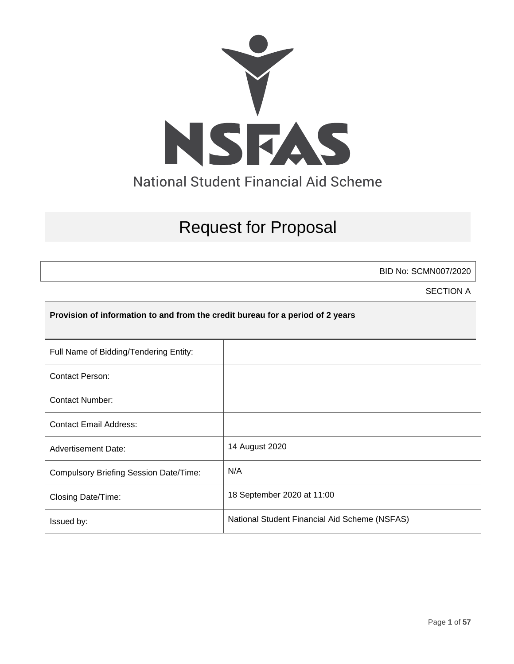

# Request for Proposal

BID No: SCMN007/2020

SECTION A

## **Provision of information to and from the credit bureau for a period of 2 years**

| Full Name of Bidding/Tendering Entity:        |                                               |
|-----------------------------------------------|-----------------------------------------------|
| <b>Contact Person:</b>                        |                                               |
| Contact Number:                               |                                               |
| <b>Contact Email Address:</b>                 |                                               |
| <b>Advertisement Date:</b>                    | 14 August 2020                                |
| <b>Compulsory Briefing Session Date/Time:</b> | N/A                                           |
| Closing Date/Time:                            | 18 September 2020 at 11:00                    |
| Issued by:                                    | National Student Financial Aid Scheme (NSFAS) |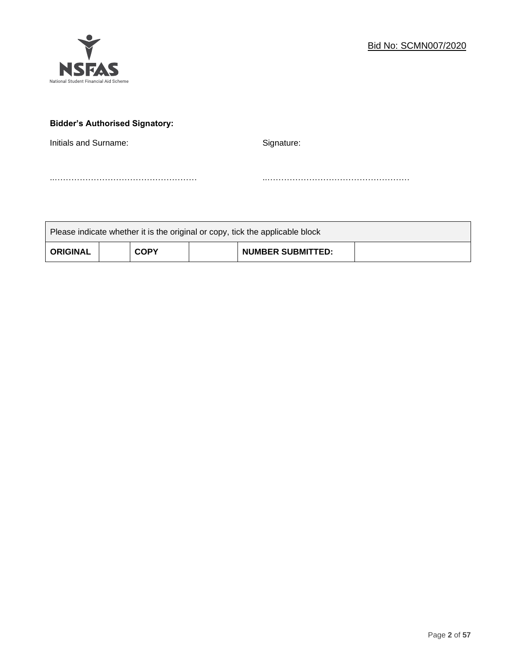

## **Bidder's Authorised Signatory:**

Initials and Surname: Signature: Signature:

..…………………………………………… ..……………………………………………

| Please indicate whether it is the original or copy, tick the applicable block |  |             |  |                          |  |
|-------------------------------------------------------------------------------|--|-------------|--|--------------------------|--|
| <b>ORIGINAL</b>                                                               |  | <b>COPY</b> |  | <b>NUMBER SUBMITTED:</b> |  |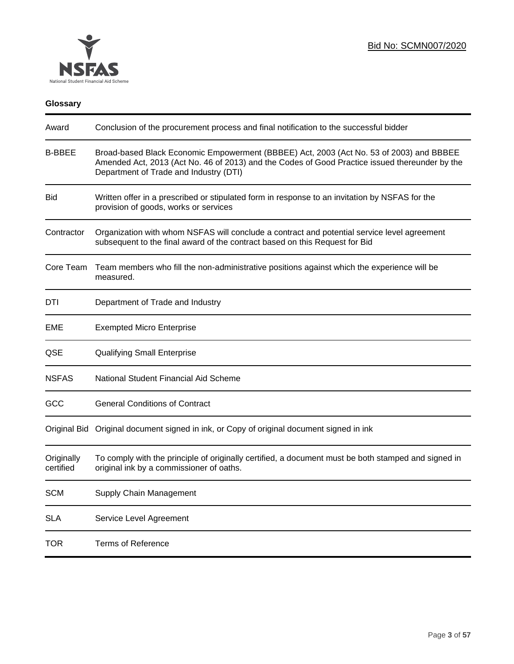

## **Glossary**

| Award                   | Conclusion of the procurement process and final notification to the successful bidder                                                                                                                                               |
|-------------------------|-------------------------------------------------------------------------------------------------------------------------------------------------------------------------------------------------------------------------------------|
| <b>B-BBEE</b>           | Broad-based Black Economic Empowerment (BBBEE) Act, 2003 (Act No. 53 of 2003) and BBBEE<br>Amended Act, 2013 (Act No. 46 of 2013) and the Codes of Good Practice issued thereunder by the<br>Department of Trade and Industry (DTI) |
| <b>Bid</b>              | Written offer in a prescribed or stipulated form in response to an invitation by NSFAS for the<br>provision of goods, works or services                                                                                             |
| Contractor              | Organization with whom NSFAS will conclude a contract and potential service level agreement<br>subsequent to the final award of the contract based on this Request for Bid                                                          |
| Core Team               | Team members who fill the non-administrative positions against which the experience will be<br>measured.                                                                                                                            |
| DTI                     | Department of Trade and Industry                                                                                                                                                                                                    |
| EME                     | <b>Exempted Micro Enterprise</b>                                                                                                                                                                                                    |
| QSE                     | <b>Qualifying Small Enterprise</b>                                                                                                                                                                                                  |
| <b>NSFAS</b>            | National Student Financial Aid Scheme                                                                                                                                                                                               |
| GCC                     | <b>General Conditions of Contract</b>                                                                                                                                                                                               |
|                         | Original Bid Original document signed in ink, or Copy of original document signed in ink                                                                                                                                            |
| Originally<br>certified | To comply with the principle of originally certified, a document must be both stamped and signed in<br>original ink by a commissioner of oaths.                                                                                     |
| <b>SCM</b>              | Supply Chain Management                                                                                                                                                                                                             |
| <b>SLA</b>              | Service Level Agreement                                                                                                                                                                                                             |
| <b>TOR</b>              | <b>Terms of Reference</b>                                                                                                                                                                                                           |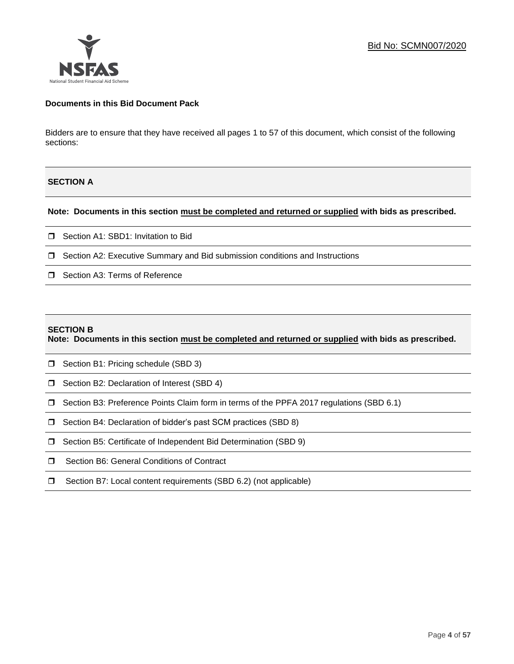## **Documents in this Bid Document Pack**

Bidders are to ensure that they have received all pages 1 to 57 of this document, which consist of the following sections:

## **SECTION A**

#### **Note: Documents in this section must be completed and returned or supplied with bids as prescribed.**

- □ Section A1: SBD1: Invitation to Bid
- $\Box$  Section A2: Executive Summary and Bid submission conditions and Instructions
- □ Section A3: Terms of Reference

#### **SECTION B**

**Note: Documents in this section must be completed and returned or supplied with bids as prescribed.**

- **J** Section B1: Pricing schedule (SBD 3)
- □ Section B2: Declaration of Interest (SBD 4)
- Section B3: Preference Points Claim form in terms of the PPFA 2017 regulations (SBD 6.1)
- □ Section B4: Declaration of bidder's past SCM practices (SBD 8)
- □ Section B5: Certificate of Independent Bid Determination (SBD 9)
- □ Section B6: General Conditions of Contract
- □ Section B7: Local content requirements (SBD 6.2) (not applicable)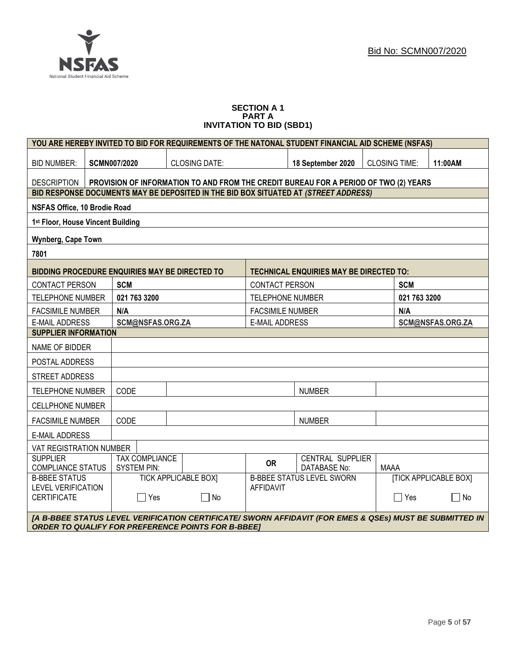

#### **SECTION A 1 PART A INVITATION TO BID (SBD1)**

|                                                 |                             |                                             | YOU ARE HEREBY INVITED TO BID FOR REQUIREMENTS OF THE NATONAL STUDENT FINANCIAL AID SCHEME (NSFAS)                                                                   |                                                                  |                                         |  |                      |         |
|-------------------------------------------------|-----------------------------|---------------------------------------------|----------------------------------------------------------------------------------------------------------------------------------------------------------------------|------------------------------------------------------------------|-----------------------------------------|--|----------------------|---------|
| <b>BID NUMBER:</b>                              |                             | <b>SCMN007/2020</b>                         | <b>CLOSING DATE:</b>                                                                                                                                                 |                                                                  | 18 September 2020                       |  | <b>CLOSING TIME:</b> | 11:00AM |
| <b>DESCRIPTION</b>                              |                             |                                             | PROVISION OF INFORMATION TO AND FROM THE CREDIT BUREAU FOR A PERIOD OF TWO (2) YEARS                                                                                 |                                                                  |                                         |  |                      |         |
|                                                 |                             |                                             | BID RESPONSE DOCUMENTS MAY BE DEPOSITED IN THE BID BOX SITUATED AT (STREET ADDRESS)                                                                                  |                                                                  |                                         |  |                      |         |
| NSFAS Office, 10 Brodie Road                    |                             |                                             |                                                                                                                                                                      |                                                                  |                                         |  |                      |         |
| 1 <sup>st</sup> Floor, House Vincent Building   |                             |                                             |                                                                                                                                                                      |                                                                  |                                         |  |                      |         |
| Wynberg, Cape Town                              |                             |                                             |                                                                                                                                                                      |                                                                  |                                         |  |                      |         |
| 7801                                            |                             |                                             |                                                                                                                                                                      |                                                                  |                                         |  |                      |         |
|                                                 |                             |                                             | <b>BIDDING PROCEDURE ENQUIRIES MAY BE DIRECTED TO</b>                                                                                                                |                                                                  | TECHNICAL ENQUIRIES MAY BE DIRECTED TO: |  |                      |         |
| <b>CONTACT PERSON</b>                           |                             | <b>SCM</b>                                  |                                                                                                                                                                      | <b>CONTACT PERSON</b>                                            |                                         |  | <b>SCM</b>           |         |
| <b>TELEPHONE NUMBER</b>                         |                             | 021 763 3200                                |                                                                                                                                                                      | <b>TELEPHONE NUMBER</b>                                          |                                         |  | 021 763 3200         |         |
| <b>FACSIMILE NUMBER</b>                         |                             | N/A                                         |                                                                                                                                                                      | <b>FACSIMILE NUMBER</b>                                          |                                         |  | N/A                  |         |
| <b>E-MAIL ADDRESS</b>                           |                             | SCM@NSFAS.ORG.ZA<br><b>E-MAIL ADDRESS</b>   |                                                                                                                                                                      |                                                                  | SCM@NSFAS.ORG.ZA                        |  |                      |         |
|                                                 | <b>SUPPLIER INFORMATION</b> |                                             |                                                                                                                                                                      |                                                                  |                                         |  |                      |         |
| NAME OF BIDDER                                  |                             |                                             |                                                                                                                                                                      |                                                                  |                                         |  |                      |         |
| POSTAL ADDRESS                                  |                             |                                             |                                                                                                                                                                      |                                                                  |                                         |  |                      |         |
| <b>STREET ADDRESS</b>                           |                             |                                             |                                                                                                                                                                      |                                                                  |                                         |  |                      |         |
| <b>TELEPHONE NUMBER</b>                         |                             | CODE                                        |                                                                                                                                                                      |                                                                  | <b>NUMBER</b>                           |  |                      |         |
| <b>CELLPHONE NUMBER</b>                         |                             |                                             |                                                                                                                                                                      |                                                                  |                                         |  |                      |         |
| <b>FACSIMILE NUMBER</b>                         |                             | CODE                                        |                                                                                                                                                                      |                                                                  | <b>NUMBER</b>                           |  |                      |         |
| <b>E-MAIL ADDRESS</b>                           |                             |                                             |                                                                                                                                                                      |                                                                  |                                         |  |                      |         |
| VAT REGISTRATION NUMBER                         |                             |                                             |                                                                                                                                                                      |                                                                  |                                         |  |                      |         |
| <b>SUPPLIER</b><br><b>COMPLIANCE STATUS</b>     |                             | <b>TAX COMPLIANCE</b><br><b>SYSTEM PIN:</b> |                                                                                                                                                                      | <b>OR</b>                                                        | <b>CENTRAL SUPPLIER</b><br>DATABASE No: |  | <b>MAAA</b>          |         |
| <b>B-BBEE STATUS</b>                            |                             |                                             | <b>TICK APPLICABLE BOXI</b>                                                                                                                                          | <b>[TICK APPLICABLE BOX]</b><br><b>B-BBEE STATUS LEVEL SWORN</b> |                                         |  |                      |         |
| <b>LEVEL VERIFICATION</b><br><b>CERTIFICATE</b> |                             | $\Box$ Yes                                  | $\Box$ No                                                                                                                                                            | <b>AFFIDAVIT</b>                                                 |                                         |  | $\Box$ Yes           | No<br>× |
|                                                 |                             |                                             |                                                                                                                                                                      |                                                                  |                                         |  |                      |         |
|                                                 |                             |                                             | [A B-BBEE STATUS LEVEL VERIFICATION CERTIFICATE/ SWORN AFFIDAVIT (FOR EMES & QSEs) MUST BE SUBMITTED IN<br><b>ORDER TO QUALIFY FOR PREFERENCE POINTS FOR B-BBEET</b> |                                                                  |                                         |  |                      |         |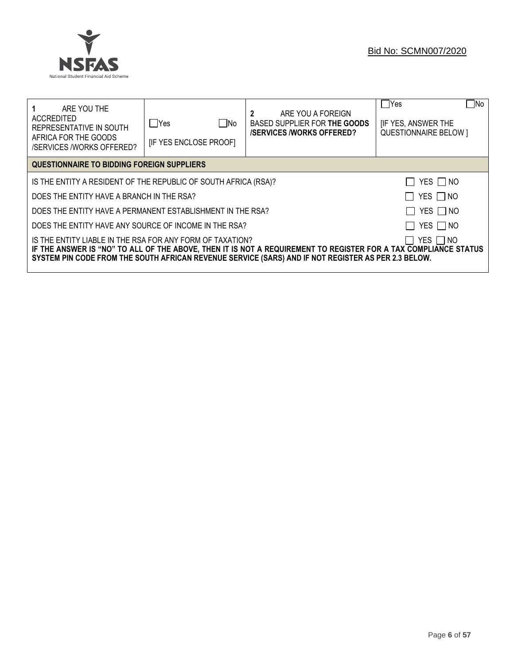

| ARE YOU THE<br>ACCREDITED<br>REPRESENTATIVE IN SOUTH<br>AFRICA FOR THE GOODS<br>/SERVICES /WORKS OFFERED?                                                                                                                                                                                        | ∏ No<br>lYes<br><b>IF YES ENCLOSE PROOFI</b>                         | 2<br>ARE YOU A FOREIGN<br>BASED SUPPLIER FOR THE GOODS<br><b>/SERVICES/WORKS OFFERED?</b> | No<br>  Yes<br><b>IF YES, ANSWER THE</b><br><b>QUESTIONNAIRE BELOW 1</b> |  |  |
|--------------------------------------------------------------------------------------------------------------------------------------------------------------------------------------------------------------------------------------------------------------------------------------------------|----------------------------------------------------------------------|-------------------------------------------------------------------------------------------|--------------------------------------------------------------------------|--|--|
| QUESTIONNAIRE TO BIDDING FOREIGN SUPPLIERS                                                                                                                                                                                                                                                       |                                                                      |                                                                                           |                                                                          |  |  |
| YES $\Box$ NO<br>IS THE ENTITY A RESIDENT OF THE REPUBLIC OF SOUTH AFRICA (RSA)?                                                                                                                                                                                                                 |                                                                      |                                                                                           |                                                                          |  |  |
|                                                                                                                                                                                                                                                                                                  | YES □ NO<br>DOES THE ENTITY HAVE A BRANCH IN THE RSA?                |                                                                                           |                                                                          |  |  |
|                                                                                                                                                                                                                                                                                                  | YES NO<br>DOES THE ENTITY HAVE A PERMANENT ESTABLISHMENT IN THE RSA? |                                                                                           |                                                                          |  |  |
| YES   NO<br>DOES THE ENTITY HAVE ANY SOURCE OF INCOME IN THE RSA?                                                                                                                                                                                                                                |                                                                      |                                                                                           |                                                                          |  |  |
| IS THE ENTITY LIABLE IN THE RSA FOR ANY FORM OF TAXATION?<br>YES I INO<br>IF THE ANSWER IS "NO" TO ALL OF THE ABOVE, THEN IT IS NOT A REQUIREMENT TO REGISTER FOR A TAX COMPLIANCE STATUS<br>SYSTEM PIN CODE FROM THE SOUTH AFRICAN REVENUE SERVICE (SARS) AND IF NOT REGISTER AS PER 2.3 BELOW. |                                                                      |                                                                                           |                                                                          |  |  |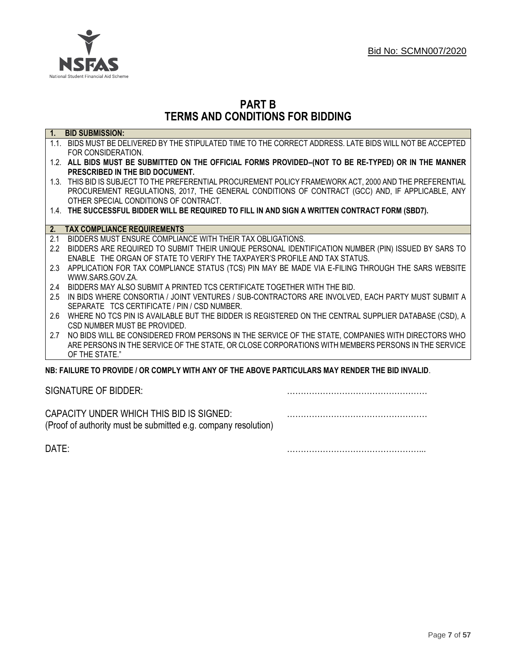

## **PART B TERMS AND CONDITIONS FOR BIDDING**

| $\overline{1}$ . | <b>BID SUBMISSION:</b>                                                                                    |
|------------------|-----------------------------------------------------------------------------------------------------------|
|                  | 1.1. BIDS MUST BE DELIVERED BY THE STIPULATED TIME TO THE CORRECT ADDRESS. LATE BIDS WILL NOT BE ACCEPTED |
|                  | FOR CONSIDERATION.                                                                                        |
|                  | 1.2. ALL BIDS MUST BE SUBMITTED ON THE OFFICIAL FORMS PROVIDED-(NOT TO BE RE-TYPED) OR IN THE MANNER      |
|                  | PRESCRIBED IN THE BID DOCUMENT.                                                                           |
|                  | 1.3. THIS BID IS SUBJECT TO THE PREFERENTIAL PROCUREMENT POLICY FRAMEWORK ACT, 2000 AND THE PREFERENTIAL  |
|                  | PROCUREMENT REGULATIONS, 2017, THE GENERAL CONDITIONS OF CONTRACT (GCC) AND, IF APPLICABLE, ANY           |
|                  | OTHER SPECIAL CONDITIONS OF CONTRACT.                                                                     |
|                  | 1.4. THE SUCCESSFUL BIDDER WILL BE REQUIRED TO FILL IN AND SIGN A WRITTEN CONTRACT FORM (SBD7).           |
|                  |                                                                                                           |
| $\overline{2}$ . | <b>TAX COMPLIANCE REQUIREMENTS</b>                                                                        |
| 2.1              | BIDDERS MUST ENSURE COMPLIANCE WITH THEIR TAX OBLIGATIONS.                                                |
| $2.2^{\circ}$    | BIDDERS ARE REQUIRED TO SUBMIT THEIR UNIQUE PERSONAL IDENTIFICATION NUMBER (PIN) ISSUED BY SARS TO        |
|                  | ENABLE THE ORGAN OF STATE TO VERIFY THE TAXPAYER'S PROFILE AND TAX STATUS.                                |
| 2.3              | APPLICATION FOR TAX COMPLIANCE STATUS (TCS) PIN MAY BE MADE VIA E-FILING THROUGH THE SARS WEBSITE         |
|                  | WWW.SARS.GOV.ZA.                                                                                          |
| 2.4              | BIDDERS MAY ALSO SUBMIT A PRINTED TCS CERTIFICATE TOGETHER WITH THE BID.                                  |
| 2.5              | IN BIDS WHERE CONSORTIA / JOINT VENTURES / SUB-CONTRACTORS ARE INVOLVED, EACH PARTY MUST SUBMIT A         |
|                  | SEPARATE TCS CERTIFICATE / PIN / CSD NUMBER.                                                              |
| 2.6              | WHERE NO TCS PIN IS AVAILABLE BUT THE BIDDER IS REGISTERED ON THE CENTRAL SUPPLIER DATABASE (CSD), A      |
|                  | CSD NUMBER MUST BE PROVIDED.                                                                              |
| 2.7              | NO BIDS WILL BE CONSIDERED FROM PERSONS IN THE SERVICE OF THE STATE, COMPANIES WITH DIRECTORS WHO         |
|                  | ARE PERSONS IN THE SERVICE OF THE STATE, OR CLOSE CORPORATIONS WITH MEMBERS PERSONS IN THE SERVICE        |
|                  | OF THE STATE."                                                                                            |
|                  | NB: FAILURE TO PROVIDE / OR COMPLY WITH ANY OF THE ABOVE PARTICULARS MAY RENDER THE BID INVALID.          |
|                  |                                                                                                           |

SIGNATURE OF BIDDER: ……………………………………………

CAPACITY UNDER WHICH THIS BID IS SIGNED: …………………………………………… (Proof of authority must be submitted e.g. company resolution)

DATE: …………………………………………...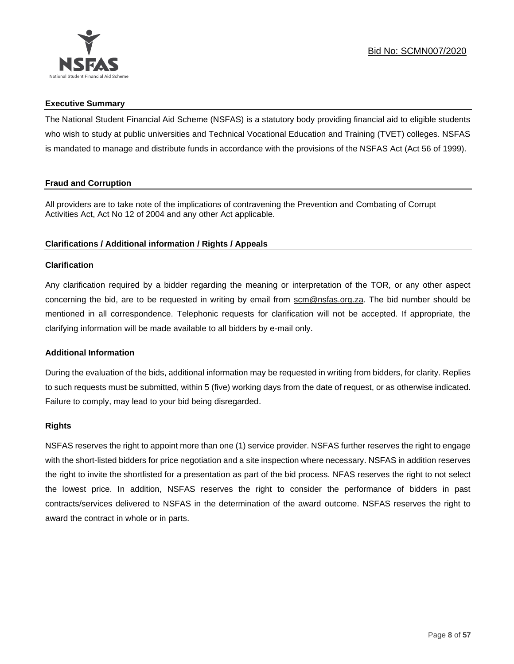

## **Executive Summary**

The National Student Financial Aid Scheme (NSFAS) is a statutory body providing financial aid to eligible students who wish to study at public universities and Technical Vocational Education and Training (TVET) colleges. NSFAS is mandated to manage and distribute funds in accordance with the provisions of the NSFAS Act (Act 56 of 1999).

## **Fraud and Corruption**

All providers are to take note of the implications of contravening the Prevention and Combating of Corrupt Activities Act, Act No 12 of 2004 and any other Act applicable.

## **Clarifications / Additional information / Rights / Appeals**

## **Clarification**

Any clarification required by a bidder regarding the meaning or interpretation of the TOR, or any other aspect concerning the bid, are to be requested in writing by email from scm@nsfas.org.za. The bid number should be mentioned in all correspondence. Telephonic requests for clarification will not be accepted. If appropriate, the clarifying information will be made available to all bidders by e-mail only.

## **Additional Information**

During the evaluation of the bids, additional information may be requested in writing from bidders, for clarity. Replies to such requests must be submitted, within 5 (five) working days from the date of request, or as otherwise indicated. Failure to comply, may lead to your bid being disregarded.

## **Rights**

NSFAS reserves the right to appoint more than one (1) service provider. NSFAS further reserves the right to engage with the short-listed bidders for price negotiation and a site inspection where necessary. NSFAS in addition reserves the right to invite the shortlisted for a presentation as part of the bid process. NFAS reserves the right to not select the lowest price. In addition, NSFAS reserves the right to consider the performance of bidders in past contracts/services delivered to NSFAS in the determination of the award outcome. NSFAS reserves the right to award the contract in whole or in parts.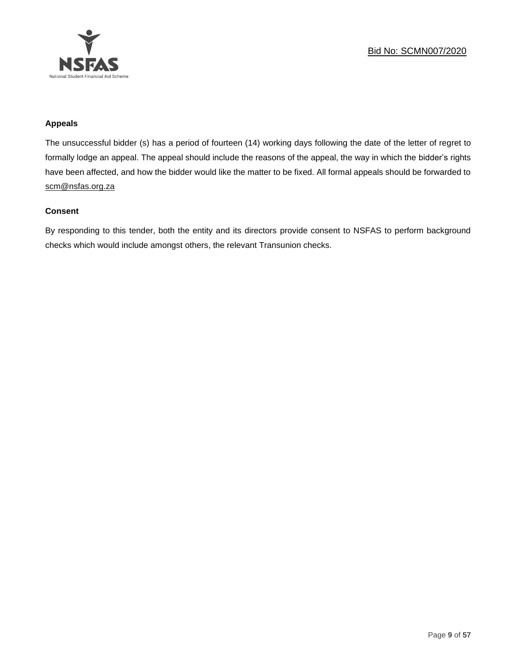

## **Appeals**

The unsuccessful bidder (s) has a period of fourteen (14) working days following the date of the letter of regret to formally lodge an appeal. The appeal should include the reasons of the appeal, the way in which the bidder's rights have been affected, and how the bidder would like the matter to be fixed. All formal appeals should be forwarded to [scm@nsfas.org.za](mailto:scm@nsfas.org.za)

## **Consent**

By responding to this tender, both the entity and its directors provide consent to NSFAS to perform background checks which would include amongst others, the relevant Transunion checks.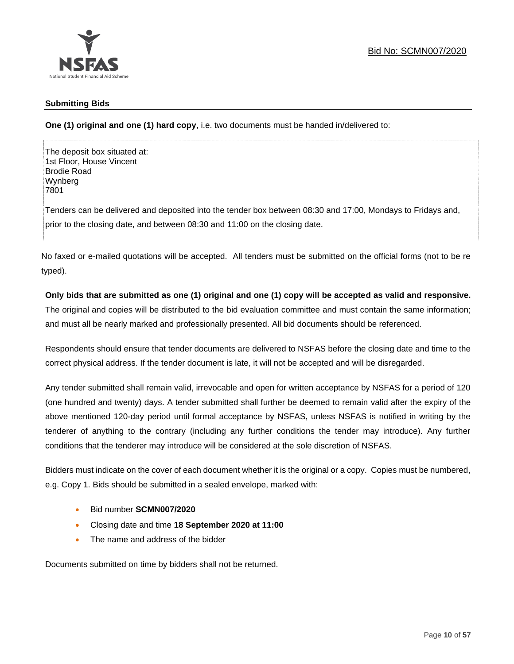

## **Submitting Bids**

**One (1) original and one (1) hard copy**, i.e. two documents must be handed in/delivered to:

The deposit box situated at: 1st Floor, House Vincent Brodie Road Wynberg 7801

Tenders can be delivered and deposited into the tender box between 08:30 and 17:00, Mondays to Fridays and, prior to the closing date, and between 08:30 and 11:00 on the closing date.

No faxed or e-mailed quotations will be accepted. All tenders must be submitted on the official forms (not to be re typed).

## **Only bids that are submitted as one (1) original and one (1) copy will be accepted as valid and responsive.**

The original and copies will be distributed to the bid evaluation committee and must contain the same information; and must all be nearly marked and professionally presented. All bid documents should be referenced.

Respondents should ensure that tender documents are delivered to NSFAS before the closing date and time to the correct physical address. If the tender document is late, it will not be accepted and will be disregarded.

Any tender submitted shall remain valid, irrevocable and open for written acceptance by NSFAS for a period of 120 (one hundred and twenty) days. A tender submitted shall further be deemed to remain valid after the expiry of the above mentioned 120-day period until formal acceptance by NSFAS, unless NSFAS is notified in writing by the tenderer of anything to the contrary (including any further conditions the tender may introduce). Any further conditions that the tenderer may introduce will be considered at the sole discretion of NSFAS.

Bidders must indicate on the cover of each document whether it is the original or a copy. Copies must be numbered, e.g. Copy 1. Bids should be submitted in a sealed envelope, marked with:

- Bid number **SCMN007/2020**
- Closing date and time **18 September 2020 at 11:00**
- The name and address of the bidder

Documents submitted on time by bidders shall not be returned.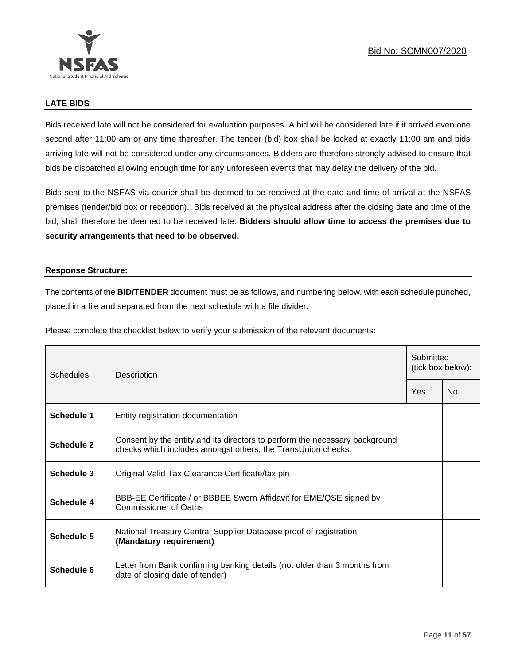

## **LATE BIDS**

Bids received late will not be considered for evaluation purposes. A bid will be considered late if it arrived even one second after 11:00 am or any time thereafter. The tender (bid) box shall be locked at exactly 11:00 am and bids arriving late will not be considered under any circumstances. Bidders are therefore strongly advised to ensure that bids be dispatched allowing enough time for any unforeseen events that may delay the delivery of the bid.

Bids sent to the NSFAS via courier shall be deemed to be received at the date and time of arrival at the NSFAS premises (tender/bid box or reception). Bids received at the physical address after the closing date and time of the bid, shall therefore be deemed to be received late. **Bidders should allow time to access the premises due to security arrangements that need to be observed.**

## **Response Structure:**

The contents of the **BID/TENDER** document must be as follows, and numbering below, with each schedule punched, placed in a file and separated from the next schedule with a file divider.

Please complete the checklist below to verify your submission of the relevant documents:

| Schedules         | Description                                                                                                                                 |  | Submitted<br>(tick box below): |  |
|-------------------|---------------------------------------------------------------------------------------------------------------------------------------------|--|--------------------------------|--|
|                   |                                                                                                                                             |  | No                             |  |
| Schedule 1        | Entity registration documentation                                                                                                           |  |                                |  |
| <b>Schedule 2</b> | Consent by the entity and its directors to perform the necessary background<br>checks which includes amongst others, the TransUnion checks. |  |                                |  |
| Schedule 3        | Original Valid Tax Clearance Certificate/tax pin                                                                                            |  |                                |  |
| Schedule 4        | BBB-EE Certificate / or BBBEE Sworn Affidavit for EME/QSE signed by<br>Commissioner of Oaths                                                |  |                                |  |
| Schedule 5        | National Treasury Central Supplier Database proof of registration<br>(Mandatory requirement)                                                |  |                                |  |
| Schedule 6        | Letter from Bank confirming banking details (not older than 3 months from<br>date of closing date of tender)                                |  |                                |  |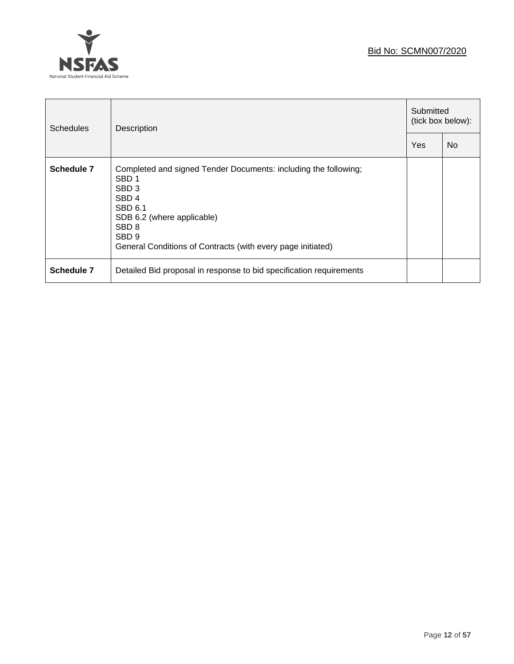

 $\overline{a}$ 

| <b>Schedules</b> | Description                                                                                                                                                                                                                                                      |     | Submitted<br>(tick box below): |  |
|------------------|------------------------------------------------------------------------------------------------------------------------------------------------------------------------------------------------------------------------------------------------------------------|-----|--------------------------------|--|
|                  |                                                                                                                                                                                                                                                                  | Yes | No.                            |  |
| Schedule 7       | Completed and signed Tender Documents: including the following;<br>SBD <sub>1</sub><br>SBD <sub>3</sub><br>SBD <sub>4</sub><br>SBD 6.1<br>SDB 6.2 (where applicable)<br>SBD <sub>8</sub><br>SBD 9<br>General Conditions of Contracts (with every page initiated) |     |                                |  |
| Schedule 7       | Detailed Bid proposal in response to bid specification requirements                                                                                                                                                                                              |     |                                |  |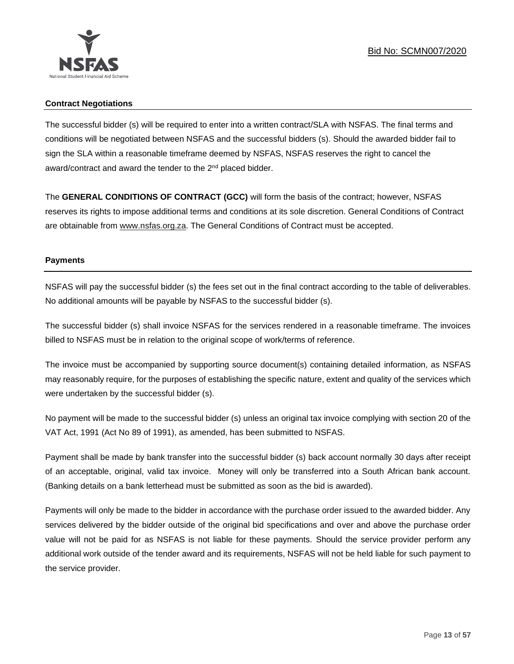

## **Contract Negotiations**

The successful bidder (s) will be required to enter into a written contract/SLA with NSFAS. The final terms and conditions will be negotiated between NSFAS and the successful bidders (s). Should the awarded bidder fail to sign the SLA within a reasonable timeframe deemed by NSFAS, NSFAS reserves the right to cancel the award/contract and award the tender to the 2<sup>nd</sup> placed bidder.

The **GENERAL CONDITIONS OF CONTRACT (GCC)** will form the basis of the contract; however, NSFAS reserves its rights to impose additional terms and conditions at its sole discretion. General Conditions of Contract are obtainable from [www.nsfas.org.za.](http://www.nsfas.org.za/) The General Conditions of Contract must be accepted.

## **Payments**

NSFAS will pay the successful bidder (s) the fees set out in the final contract according to the table of deliverables. No additional amounts will be payable by NSFAS to the successful bidder (s).

The successful bidder (s) shall invoice NSFAS for the services rendered in a reasonable timeframe. The invoices billed to NSFAS must be in relation to the original scope of work/terms of reference.

The invoice must be accompanied by supporting source document(s) containing detailed information, as NSFAS may reasonably require, for the purposes of establishing the specific nature, extent and quality of the services which were undertaken by the successful bidder (s).

No payment will be made to the successful bidder (s) unless an original tax invoice complying with section 20 of the VAT Act, 1991 (Act No 89 of 1991), as amended, has been submitted to NSFAS.

Payment shall be made by bank transfer into the successful bidder (s) back account normally 30 days after receipt of an acceptable, original, valid tax invoice. Money will only be transferred into a South African bank account. (Banking details on a bank letterhead must be submitted as soon as the bid is awarded).

Payments will only be made to the bidder in accordance with the purchase order issued to the awarded bidder. Any services delivered by the bidder outside of the original bid specifications and over and above the purchase order value will not be paid for as NSFAS is not liable for these payments. Should the service provider perform any additional work outside of the tender award and its requirements, NSFAS will not be held liable for such payment to the service provider.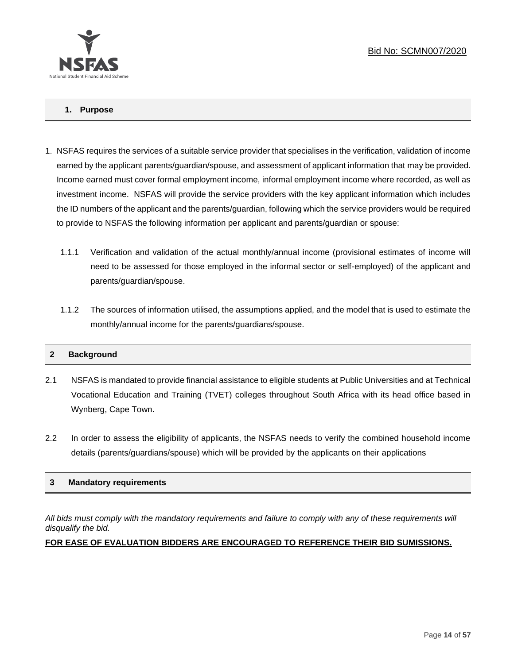

## **1. Purpose**

- 1. NSFAS requires the services of a suitable service provider that specialises in the verification, validation of income earned by the applicant parents/guardian/spouse, and assessment of applicant information that may be provided. Income earned must cover formal employment income, informal employment income where recorded, as well as investment income. NSFAS will provide the service providers with the key applicant information which includes the ID numbers of the applicant and the parents/guardian, following which the service providers would be required to provide to NSFAS the following information per applicant and parents/guardian or spouse:
	- 1.1.1 Verification and validation of the actual monthly/annual income (provisional estimates of income will need to be assessed for those employed in the informal sector or self-employed) of the applicant and parents/guardian/spouse.
	- 1.1.2 The sources of information utilised, the assumptions applied, and the model that is used to estimate the monthly/annual income for the parents/guardians/spouse.

## **2 Background**

- 2.1 NSFAS is mandated to provide financial assistance to eligible students at Public Universities and at Technical Vocational Education and Training (TVET) colleges throughout South Africa with its head office based in Wynberg, Cape Town.
- 2.2 In order to assess the eligibility of applicants, the NSFAS needs to verify the combined household income details (parents/guardians/spouse) which will be provided by the applicants on their applications

## **3 Mandatory requirements**

*All bids must comply with the mandatory requirements and failure to comply with any of these requirements will disqualify the bid.*

## **FOR EASE OF EVALUATION BIDDERS ARE ENCOURAGED TO REFERENCE THEIR BID SUMISSIONS.**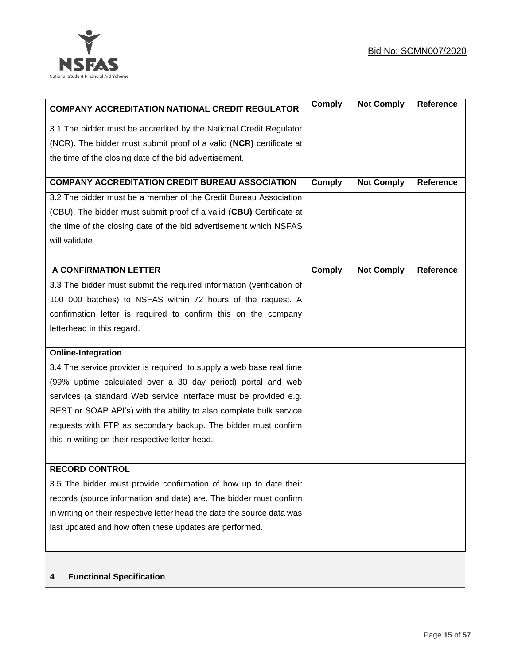

| <b>COMPANY ACCREDITATION NATIONAL CREDIT REGULATOR</b>                  | <b>Comply</b> | <b>Not Comply</b> | Reference        |
|-------------------------------------------------------------------------|---------------|-------------------|------------------|
| 3.1 The bidder must be accredited by the National Credit Regulator      |               |                   |                  |
| (NCR). The bidder must submit proof of a valid (NCR) certificate at     |               |                   |                  |
| the time of the closing date of the bid advertisement.                  |               |                   |                  |
| <b>COMPANY ACCREDITATION CREDIT BUREAU ASSOCIATION</b>                  | <b>Comply</b> | <b>Not Comply</b> | Reference        |
| 3.2 The bidder must be a member of the Credit Bureau Association        |               |                   |                  |
| (CBU). The bidder must submit proof of a valid (CBU) Certificate at     |               |                   |                  |
| the time of the closing date of the bid advertisement which NSFAS       |               |                   |                  |
| will validate.                                                          |               |                   |                  |
|                                                                         |               |                   |                  |
| <b>A CONFIRMATION LETTER</b>                                            | <b>Comply</b> | <b>Not Comply</b> | <b>Reference</b> |
| 3.3 The bidder must submit the required information (verification of    |               |                   |                  |
| 100 000 batches) to NSFAS within 72 hours of the request. A             |               |                   |                  |
| confirmation letter is required to confirm this on the company          |               |                   |                  |
| letterhead in this regard.                                              |               |                   |                  |
| <b>Online-Integration</b>                                               |               |                   |                  |
| 3.4 The service provider is required to supply a web base real time     |               |                   |                  |
| (99% uptime calculated over a 30 day period) portal and web             |               |                   |                  |
| services (a standard Web service interface must be provided e.g.        |               |                   |                  |
| REST or SOAP API's) with the ability to also complete bulk service      |               |                   |                  |
| requests with FTP as secondary backup. The bidder must confirm          |               |                   |                  |
| this in writing on their respective letter head.                        |               |                   |                  |
|                                                                         |               |                   |                  |
| <b>RECORD CONTROL</b>                                                   |               |                   |                  |
| 3.5 The bidder must provide confirmation of how up to date their        |               |                   |                  |
| records (source information and data) are. The bidder must confirm      |               |                   |                  |
| in writing on their respective letter head the date the source data was |               |                   |                  |
| last updated and how often these updates are performed.                 |               |                   |                  |
|                                                                         |               |                   |                  |

## **4 Functional Specification**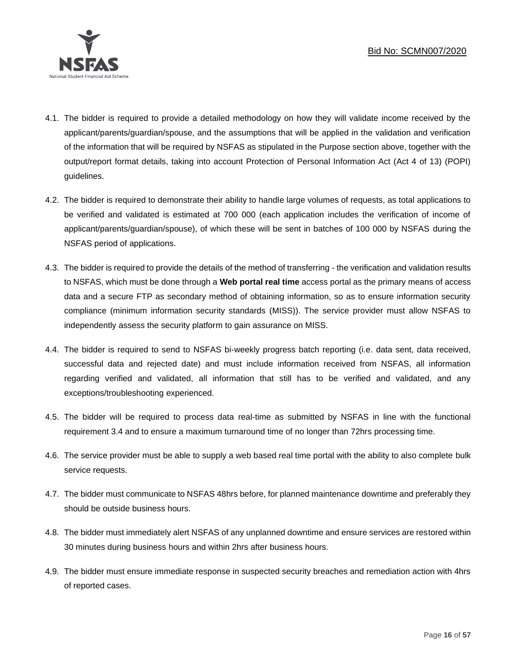

- 4.1. The bidder is required to provide a detailed methodology on how they will validate income received by the applicant/parents/guardian/spouse, and the assumptions that will be applied in the validation and verification of the information that will be required by NSFAS as stipulated in the Purpose section above, together with the output/report format details, taking into account Protection of Personal Information Act (Act 4 of 13) (POPI) guidelines.
- 4.2. The bidder is required to demonstrate their ability to handle large volumes of requests, as total applications to be verified and validated is estimated at 700 000 (each application includes the verification of income of applicant/parents/guardian/spouse), of which these will be sent in batches of 100 000 by NSFAS during the NSFAS period of applications.
- 4.3. The bidder is required to provide the details of the method of transferring the verification and validation results to NSFAS, which must be done through a **Web portal real time** access portal as the primary means of access data and a secure FTP as secondary method of obtaining information, so as to ensure information security compliance (minimum information security standards (MISS)). The service provider must allow NSFAS to independently assess the security platform to gain assurance on MISS.
- 4.4. The bidder is required to send to NSFAS bi-weekly progress batch reporting (i.e. data sent, data received, successful data and rejected date) and must include information received from NSFAS, all information regarding verified and validated, all information that still has to be verified and validated, and any exceptions/troubleshooting experienced.
- 4.5. The bidder will be required to process data real-time as submitted by NSFAS in line with the functional requirement 3.4 and to ensure a maximum turnaround time of no longer than 72hrs processing time.
- 4.6. The service provider must be able to supply a web based real time portal with the ability to also complete bulk service requests.
- 4.7. The bidder must communicate to NSFAS 48hrs before, for planned maintenance downtime and preferably they should be outside business hours.
- 4.8. The bidder must immediately alert NSFAS of any unplanned downtime and ensure services are restored within 30 minutes during business hours and within 2hrs after business hours.
- 4.9. The bidder must ensure immediate response in suspected security breaches and remediation action with 4hrs of reported cases.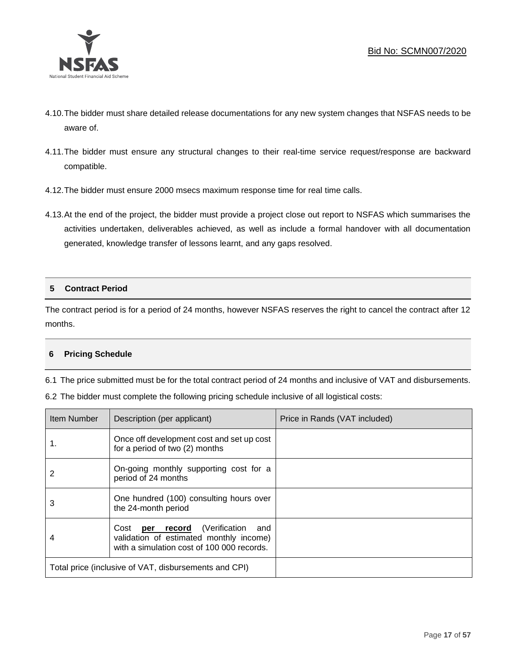

- 4.10.The bidder must share detailed release documentations for any new system changes that NSFAS needs to be aware of.
- 4.11.The bidder must ensure any structural changes to their real-time service request/response are backward compatible.
- 4.12.The bidder must ensure 2000 msecs maximum response time for real time calls.
- 4.13.At the end of the project, the bidder must provide a project close out report to NSFAS which summarises the activities undertaken, deliverables achieved, as well as include a formal handover with all documentation generated, knowledge transfer of lessons learnt, and any gaps resolved.

## **5 Contract Period**

The contract period is for a period of 24 months, however NSFAS reserves the right to cancel the contract after 12 months.

## **6 Pricing Schedule**

6.1 The price submitted must be for the total contract period of 24 months and inclusive of VAT and disbursements.

|  | 6.2 The bidder must complete the following pricing schedule inclusive of all logistical costs: |
|--|------------------------------------------------------------------------------------------------|
|--|------------------------------------------------------------------------------------------------|

| Item Number | Description (per applicant)                                                                                                          | Price in Rands (VAT included) |
|-------------|--------------------------------------------------------------------------------------------------------------------------------------|-------------------------------|
| 1.          | Once off development cost and set up cost<br>for a period of two (2) months                                                          |                               |
| 2           | On-going monthly supporting cost for a<br>period of 24 months                                                                        |                               |
| 3           | One hundred (100) consulting hours over<br>the 24-month period                                                                       |                               |
|             | Cost <b>per record</b> (Verification<br>and<br>validation of estimated monthly income)<br>with a simulation cost of 100 000 records. |                               |
|             | Total price (inclusive of VAT, disbursements and CPI)                                                                                |                               |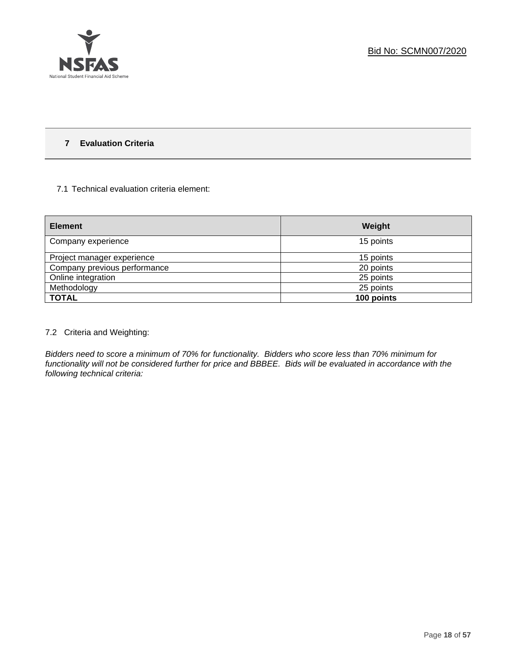

## **7 Evaluation Criteria**

## 7.1 Technical evaluation criteria element:

| <b>Element</b>               | Weight     |
|------------------------------|------------|
| Company experience           | 15 points  |
| Project manager experience   | 15 points  |
| Company previous performance | 20 points  |
| Online integration           | 25 points  |
| Methodology                  | 25 points  |
| <b>TOTAL</b>                 | 100 points |

## 7.2 Criteria and Weighting:

*Bidders need to score a minimum of 70% for functionality. Bidders who score less than 70% minimum for functionality will not be considered further for price and BBBEE. Bids will be evaluated in accordance with the following technical criteria:*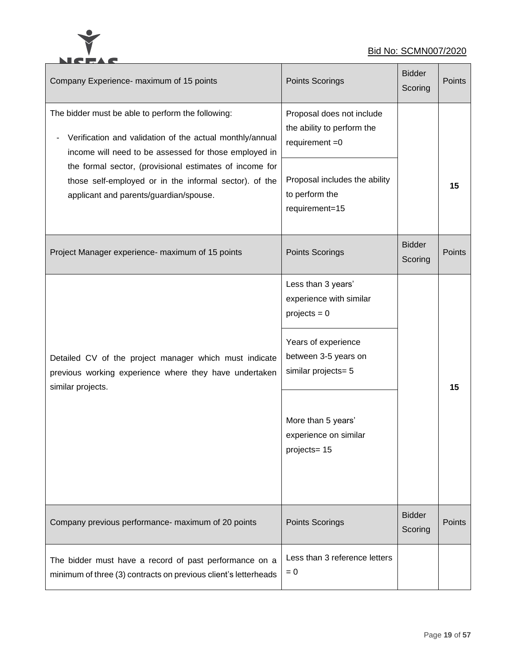

## Bid No: SCMN007/2020

| Company Experience- maximum of 15 points                                                                                                                                                                                                                                                                                              | Points Scorings                                                                                                                                                                                     | <b>Bidder</b><br>Scoring | <b>Points</b> |
|---------------------------------------------------------------------------------------------------------------------------------------------------------------------------------------------------------------------------------------------------------------------------------------------------------------------------------------|-----------------------------------------------------------------------------------------------------------------------------------------------------------------------------------------------------|--------------------------|---------------|
| The bidder must be able to perform the following:<br>Verification and validation of the actual monthly/annual<br>income will need to be assessed for those employed in<br>the formal sector, (provisional estimates of income for<br>those self-employed or in the informal sector). of the<br>applicant and parents/guardian/spouse. | Proposal does not include<br>the ability to perform the<br>requirement $=0$<br>Proposal includes the ability<br>to perform the<br>requirement=15                                                    |                          | 15            |
| Project Manager experience- maximum of 15 points                                                                                                                                                                                                                                                                                      | Points Scorings                                                                                                                                                                                     | <b>Bidder</b><br>Scoring | <b>Points</b> |
| Detailed CV of the project manager which must indicate<br>previous working experience where they have undertaken<br>similar projects.                                                                                                                                                                                                 | Less than 3 years'<br>experience with similar<br>$projects = 0$<br>Years of experience<br>between 3-5 years on<br>similar projects= 5<br>More than 5 years'<br>experience on similar<br>projects=15 |                          | 15            |
| Company previous performance- maximum of 20 points                                                                                                                                                                                                                                                                                    | <b>Points Scorings</b>                                                                                                                                                                              | <b>Bidder</b><br>Scoring | Points        |
| The bidder must have a record of past performance on a<br>minimum of three (3) contracts on previous client's letterheads                                                                                                                                                                                                             | Less than 3 reference letters<br>$= 0$                                                                                                                                                              |                          |               |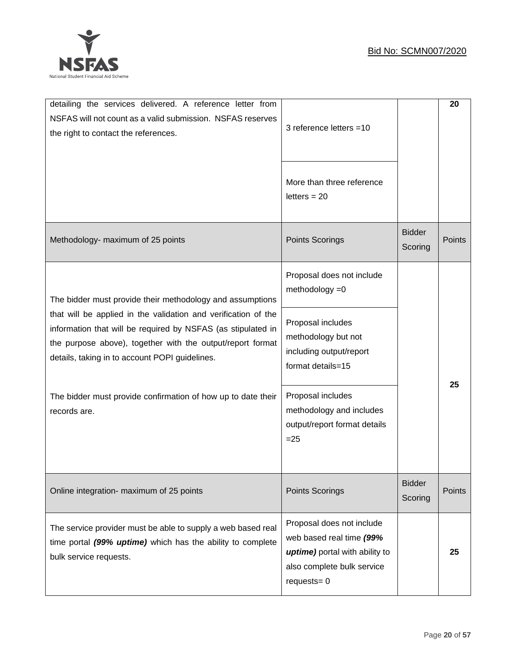

| detailing the services delivered. A reference letter from<br>NSFAS will not count as a valid submission. NSFAS reserves<br>the right to contact the references.                                                                                | 3 reference letters =10                                                                                                                |                          | 20            |
|------------------------------------------------------------------------------------------------------------------------------------------------------------------------------------------------------------------------------------------------|----------------------------------------------------------------------------------------------------------------------------------------|--------------------------|---------------|
|                                                                                                                                                                                                                                                | More than three reference<br>letters $= 20$                                                                                            |                          |               |
| Methodology- maximum of 25 points                                                                                                                                                                                                              | Points Scorings                                                                                                                        | <b>Bidder</b><br>Scoring | Points        |
| The bidder must provide their methodology and assumptions                                                                                                                                                                                      | Proposal does not include<br>methodology $=0$                                                                                          |                          |               |
| that will be applied in the validation and verification of the<br>information that will be required by NSFAS (as stipulated in<br>the purpose above), together with the output/report format<br>details, taking in to account POPI guidelines. | Proposal includes<br>methodology but not<br>including output/report<br>format details=15                                               |                          | 25            |
| The bidder must provide confirmation of how up to date their<br>records are.                                                                                                                                                                   | Proposal includes<br>methodology and includes<br>output/report format details<br>$=25$                                                 |                          |               |
| Online integration- maximum of 25 points                                                                                                                                                                                                       | Points Scorings                                                                                                                        | <b>Bidder</b><br>Scoring | <b>Points</b> |
| The service provider must be able to supply a web based real<br>time portal (99% uptime) which has the ability to complete<br>bulk service requests.                                                                                           | Proposal does not include<br>web based real time (99%<br>uptime) portal with ability to<br>also complete bulk service<br>$request = 0$ |                          | 25            |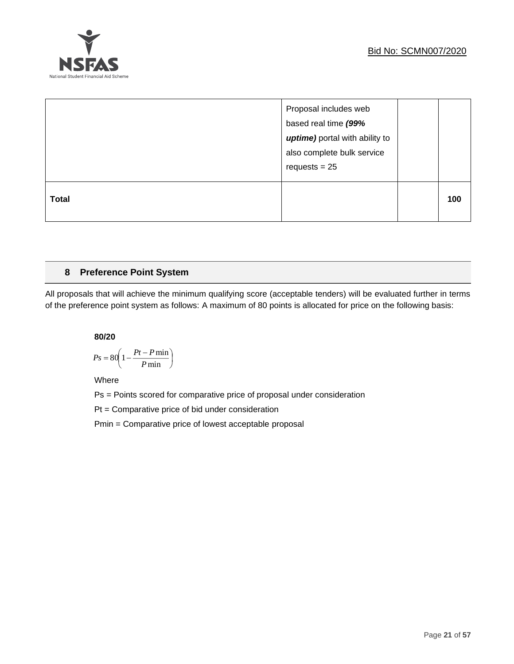

|              | Proposal includes web<br>based real time (99%<br>uptime) portal with ability to<br>also complete bulk service<br>requests $= 25$ |     |
|--------------|----------------------------------------------------------------------------------------------------------------------------------|-----|
| <b>Total</b> |                                                                                                                                  | 100 |

## **8 Preference Point System**

All proposals that will achieve the minimum qualifying score (acceptable tenders) will be evaluated further in terms of the preference point system as follows: A maximum of 80 points is allocated for price on the following basis:

**80/20**

$$
Ps = 80 \left( 1 - \frac{Pt - P \min}{P \min} \right)
$$

Where

Ps = Points scored for comparative price of proposal under consideration

Pt = Comparative price of bid under consideration

Pmin = Comparative price of lowest acceptable proposal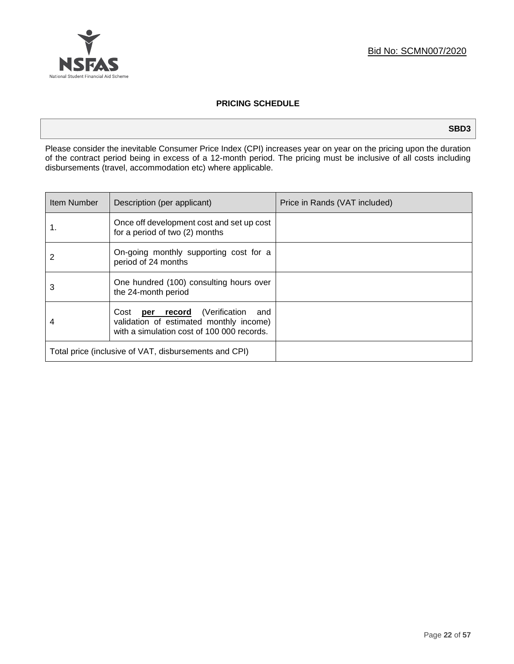

## **PRICING SCHEDULE**

**SBD3**

Please consider the inevitable Consumer Price Index (CPI) increases year on year on the pricing upon the duration of the contract period being in excess of a 12-month period. The pricing must be inclusive of all costs including disbursements (travel, accommodation etc) where applicable.

| Item Number                                           | Description (per applicant)                                                                                                       | Price in Rands (VAT included) |
|-------------------------------------------------------|-----------------------------------------------------------------------------------------------------------------------------------|-------------------------------|
| 1.                                                    | Once off development cost and set up cost<br>for a period of two (2) months                                                       |                               |
| 2                                                     | On-going monthly supporting cost for a<br>period of 24 months                                                                     |                               |
| 3                                                     | One hundred (100) consulting hours over<br>the 24-month period                                                                    |                               |
|                                                       | Cost <b>per record</b> (Verification and<br>validation of estimated monthly income)<br>with a simulation cost of 100 000 records. |                               |
| Total price (inclusive of VAT, disbursements and CPI) |                                                                                                                                   |                               |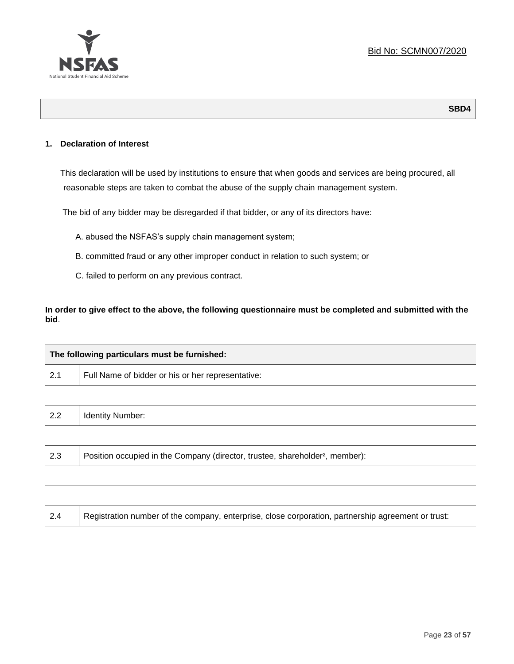

## **1. Declaration of Interest**

This declaration will be used by institutions to ensure that when goods and services are being procured, all reasonable steps are taken to combat the abuse of the supply chain management system.

The bid of any bidder may be disregarded if that bidder, or any of its directors have:

- A. abused the NSFAS's supply chain management system;
- B. committed fraud or any other improper conduct in relation to such system; or
- C. failed to perform on any previous contract.

**In order to give effect to the above, the following questionnaire must be completed and submitted with the bid**.

|     | The following particulars must be furnished:                                             |  |  |
|-----|------------------------------------------------------------------------------------------|--|--|
| 2.1 | Full Name of bidder or his or her representative:                                        |  |  |
|     |                                                                                          |  |  |
| 2.2 | <b>Identity Number:</b>                                                                  |  |  |
|     |                                                                                          |  |  |
| 2.3 | Position occupied in the Company (director, trustee, shareholder <sup>2</sup> , member): |  |  |
|     |                                                                                          |  |  |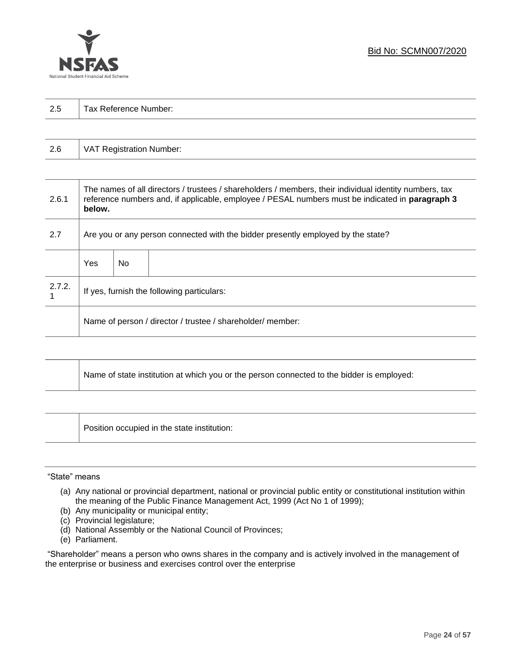

| っょ  |                       |
|-----|-----------------------|
| ن ک | Tax Reference Number: |
|     |                       |

| 2.6 | VAT Registration Number: |
|-----|--------------------------|
|-----|--------------------------|

| 2.6.1  | The names of all directors / trustees / shareholders / members, their individual identity numbers, tax<br>reference numbers and, if applicable, employee / PESAL numbers must be indicated in paragraph 3<br>below. |     |  |
|--------|---------------------------------------------------------------------------------------------------------------------------------------------------------------------------------------------------------------------|-----|--|
| 2.7    | Are you or any person connected with the bidder presently employed by the state?                                                                                                                                    |     |  |
|        | Yes                                                                                                                                                                                                                 | No. |  |
| 2.7.2. | If yes, furnish the following particulars:                                                                                                                                                                          |     |  |
|        | Name of person / director / trustee / shareholder/ member:                                                                                                                                                          |     |  |

| Name of state institution at which you or the person connected to the bidder is employed: |
|-------------------------------------------------------------------------------------------|
|                                                                                           |

Position occupied in the state institution:

## "State" means

┱

- (a) Any national or provincial department, national or provincial public entity or constitutional institution within the meaning of the Public Finance Management Act, 1999 (Act No 1 of 1999);
- (b) Any municipality or municipal entity;
- (c) Provincial legislature;
- (d) National Assembly or the National Council of Provinces;
- (e) Parliament.

"Shareholder" means a person who owns shares in the company and is actively involved in the management of the enterprise or business and exercises control over the enterprise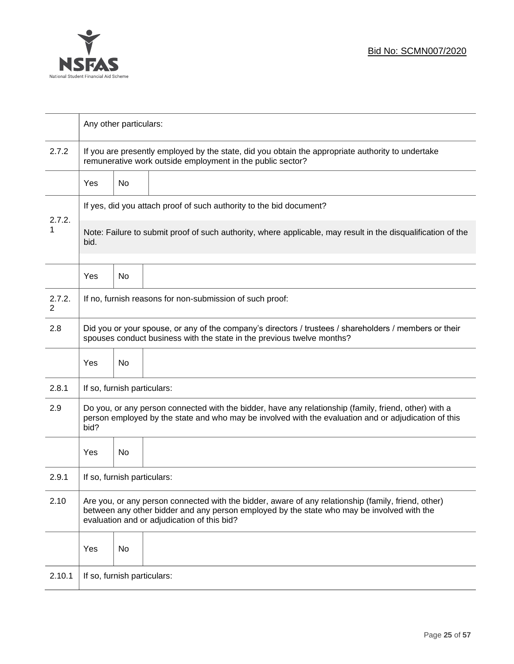

|                          | Any other particulars:                                                                                                                                                                                                                           |    |                                                          |  |
|--------------------------|--------------------------------------------------------------------------------------------------------------------------------------------------------------------------------------------------------------------------------------------------|----|----------------------------------------------------------|--|
| 2.7.2                    | If you are presently employed by the state, did you obtain the appropriate authority to undertake<br>remunerative work outside employment in the public sector?                                                                                  |    |                                                          |  |
|                          | Yes                                                                                                                                                                                                                                              | No |                                                          |  |
|                          | If yes, did you attach proof of such authority to the bid document?                                                                                                                                                                              |    |                                                          |  |
| 2.7.2.<br>1              | Note: Failure to submit proof of such authority, where applicable, may result in the disqualification of the<br>bid.                                                                                                                             |    |                                                          |  |
|                          | Yes                                                                                                                                                                                                                                              | No |                                                          |  |
| 2.7.2.<br>$\overline{2}$ |                                                                                                                                                                                                                                                  |    | If no, furnish reasons for non-submission of such proof: |  |
| 2.8                      | Did you or your spouse, or any of the company's directors / trustees / shareholders / members or their<br>spouses conduct business with the state in the previous twelve months?                                                                 |    |                                                          |  |
|                          | Yes                                                                                                                                                                                                                                              | No |                                                          |  |
| 2.8.1                    | If so, furnish particulars:                                                                                                                                                                                                                      |    |                                                          |  |
| 2.9                      | Do you, or any person connected with the bidder, have any relationship (family, friend, other) with a<br>person employed by the state and who may be involved with the evaluation and or adjudication of this<br>bid?                            |    |                                                          |  |
|                          | Yes                                                                                                                                                                                                                                              | No |                                                          |  |
| 2.9.1                    | If so, furnish particulars:                                                                                                                                                                                                                      |    |                                                          |  |
| 2.10                     | Are you, or any person connected with the bidder, aware of any relationship (family, friend, other)<br>between any other bidder and any person employed by the state who may be involved with the<br>evaluation and or adjudication of this bid? |    |                                                          |  |
|                          | Yes                                                                                                                                                                                                                                              | No |                                                          |  |
| 2.10.1                   | If so, furnish particulars:                                                                                                                                                                                                                      |    |                                                          |  |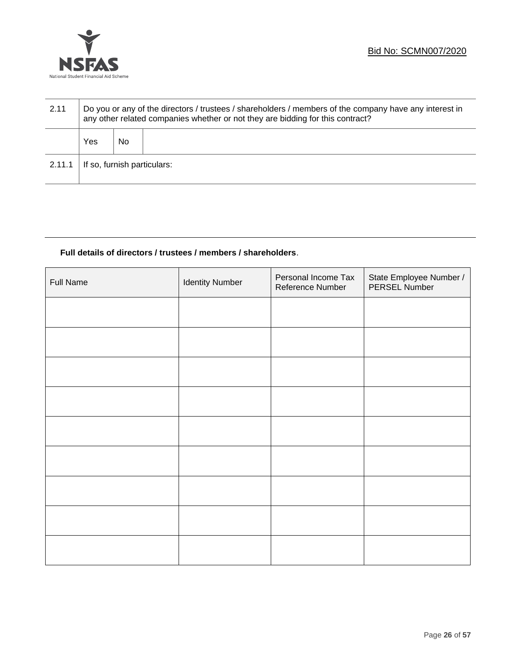

| 2.11   | Do you or any of the directors / trustees / shareholders / members of the company have any interest in<br>any other related companies whether or not they are bidding for this contract? |    |  |  |
|--------|------------------------------------------------------------------------------------------------------------------------------------------------------------------------------------------|----|--|--|
|        | Yes                                                                                                                                                                                      | No |  |  |
| 2.11.1 | If so, furnish particulars:                                                                                                                                                              |    |  |  |

## **Full details of directors / trustees / members / shareholders**.

| <b>Full Name</b> | <b>Identity Number</b> | Personal Income Tax<br>Reference Number | State Employee Number /<br>PERSEL Number |
|------------------|------------------------|-----------------------------------------|------------------------------------------|
|                  |                        |                                         |                                          |
|                  |                        |                                         |                                          |
|                  |                        |                                         |                                          |
|                  |                        |                                         |                                          |
|                  |                        |                                         |                                          |
|                  |                        |                                         |                                          |
|                  |                        |                                         |                                          |
|                  |                        |                                         |                                          |
|                  |                        |                                         |                                          |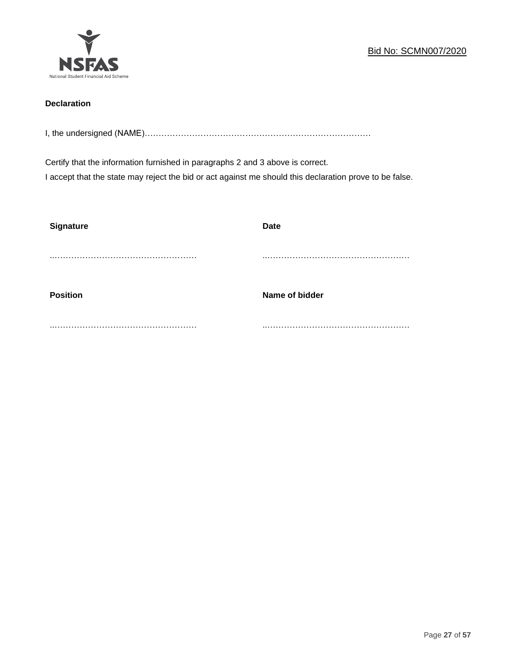

## **Declaration**

I, the undersigned (NAME)………………………………………………………………………

Certify that the information furnished in paragraphs 2 and 3 above is correct. I accept that the state may reject the bid or act against me should this declaration prove to be false.

| <b>Signature</b> | <b>Date</b>    |
|------------------|----------------|
|                  |                |
| <b>Position</b>  | Name of bidder |
|                  |                |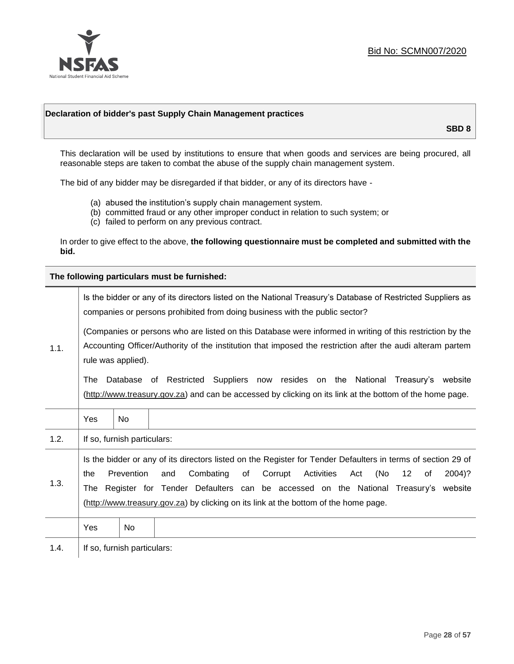

## **Declaration of bidder's past Supply Chain Management practices**

**SBD 8**

This declaration will be used by institutions to ensure that when goods and services are being procured, all reasonable steps are taken to combat the abuse of the supply chain management system.

The bid of any bidder may be disregarded if that bidder, or any of its directors have -

- (a) abused the institution's supply chain management system.
- (b) committed fraud or any other improper conduct in relation to such system; or
- (c) failed to perform on any previous contract.

In order to give effect to the above, **the following questionnaire must be completed and submitted with the bid.**

**The following particulars must be furnished:**

|      |                                                                                                                                                                                                                                               |                             | Is the bidder or any of its directors listed on the National Treasury's Database of Restricted Suppliers as<br>companies or persons prohibited from doing business with the public sector?                                                                                                                                                                                       |
|------|-----------------------------------------------------------------------------------------------------------------------------------------------------------------------------------------------------------------------------------------------|-----------------------------|----------------------------------------------------------------------------------------------------------------------------------------------------------------------------------------------------------------------------------------------------------------------------------------------------------------------------------------------------------------------------------|
| 1.1. | (Companies or persons who are listed on this Database were informed in writing of this restriction by the<br>Accounting Officer/Authority of the institution that imposed the restriction after the audi alteram partem<br>rule was applied). |                             |                                                                                                                                                                                                                                                                                                                                                                                  |
|      | The                                                                                                                                                                                                                                           |                             | Database of Restricted Suppliers now resides on the National Treasury's website<br>(http://www.treasury.gov.za) and can be accessed by clicking on its link at the bottom of the home page.                                                                                                                                                                                      |
|      | Yes                                                                                                                                                                                                                                           | <b>No</b>                   |                                                                                                                                                                                                                                                                                                                                                                                  |
| 1.2. |                                                                                                                                                                                                                                               | If so, furnish particulars: |                                                                                                                                                                                                                                                                                                                                                                                  |
| 1.3. | the<br>The                                                                                                                                                                                                                                    | Prevention                  | Is the bidder or any of its directors listed on the Register for Tender Defaulters in terms of section 29 of<br>Combating<br>Activities<br>(No<br>of<br>Corrupt<br>12<br>2004)?<br>and<br>Act<br>οf<br>Register for Tender Defaulters can be accessed on the National Treasury's website<br>(http://www.treasury.gov.za) by clicking on its link at the bottom of the home page. |
|      | Yes                                                                                                                                                                                                                                           | No                          |                                                                                                                                                                                                                                                                                                                                                                                  |
| 1.4. |                                                                                                                                                                                                                                               | If so, furnish particulars: |                                                                                                                                                                                                                                                                                                                                                                                  |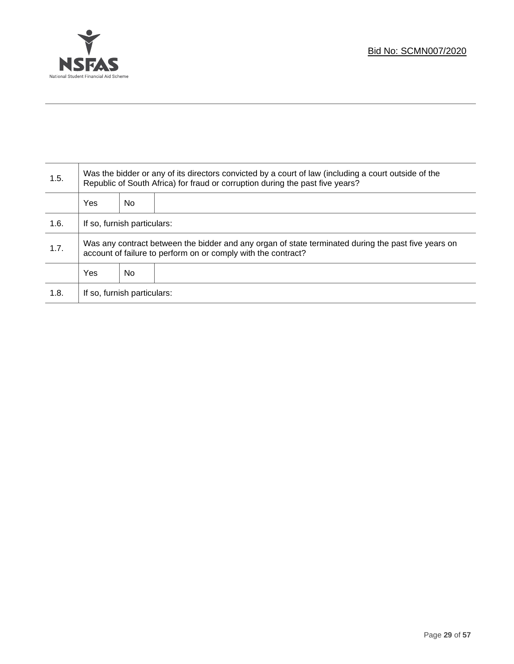

Τ

| 1.5. | Was the bidder or any of its directors convicted by a court of law (including a court outside of the<br>Republic of South Africa) for fraud or corruption during the past five years? |    |  |
|------|---------------------------------------------------------------------------------------------------------------------------------------------------------------------------------------|----|--|
|      | Yes                                                                                                                                                                                   | No |  |
| 1.6. | If so, furnish particulars:                                                                                                                                                           |    |  |
| 1.7. | Was any contract between the bidder and any organ of state terminated during the past five years on<br>account of failure to perform on or comply with the contract?                  |    |  |
|      | Yes<br>No                                                                                                                                                                             |    |  |
| 1.8. | If so, furnish particulars:                                                                                                                                                           |    |  |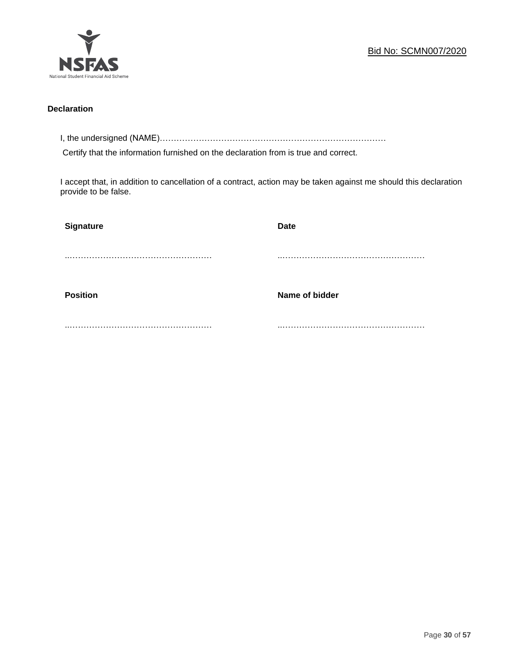

## **Declaration**

I, the undersigned (NAME)………………………………………………………………………

Certify that the information furnished on the declaration from is true and correct.

I accept that, in addition to cancellation of a contract, action may be taken against me should this declaration provide to be false.

| Signature       | <b>Date</b>    |
|-----------------|----------------|
|                 |                |
|                 |                |
| <b>Position</b> | Name of bidder |
|                 |                |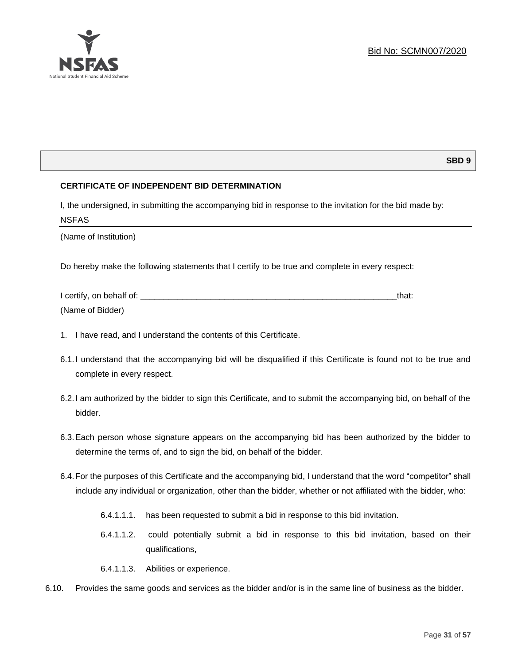

## **SBD 9**

## **CERTIFICATE OF INDEPENDENT BID DETERMINATION**

I, the undersigned, in submitting the accompanying bid in response to the invitation for the bid made by: NSFAS

(Name of Institution)

Do hereby make the following statements that I certify to be true and complete in every respect:

| I certify, on behalf of: |  |
|--------------------------|--|
| (Name of Bidder)         |  |

- 1. I have read, and I understand the contents of this Certificate.
- 6.1.I understand that the accompanying bid will be disqualified if this Certificate is found not to be true and complete in every respect.
- 6.2.I am authorized by the bidder to sign this Certificate, and to submit the accompanying bid, on behalf of the bidder.
- 6.3.Each person whose signature appears on the accompanying bid has been authorized by the bidder to determine the terms of, and to sign the bid, on behalf of the bidder.
- 6.4.For the purposes of this Certificate and the accompanying bid, I understand that the word "competitor" shall include any individual or organization, other than the bidder, whether or not affiliated with the bidder, who:
	- 6.4.1.1.1. has been requested to submit a bid in response to this bid invitation.
	- 6.4.1.1.2. could potentially submit a bid in response to this bid invitation, based on their qualifications,
	- 6.4.1.1.3. Abilities or experience.
- 6.10. Provides the same goods and services as the bidder and/or is in the same line of business as the bidder.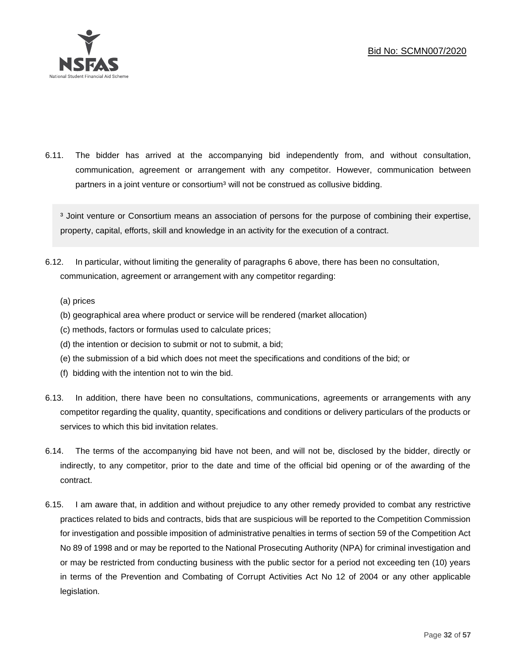

6.11. The bidder has arrived at the accompanying bid independently from, and without consultation, communication, agreement or arrangement with any competitor. However, communication between partners in a joint venture or consortium<sup>3</sup> will not be construed as collusive bidding.

<sup>3</sup> Joint venture or Consortium means an association of persons for the purpose of combining their expertise, property, capital, efforts, skill and knowledge in an activity for the execution of a contract.

- 6.12. In particular, without limiting the generality of paragraphs 6 above, there has been no consultation, communication, agreement or arrangement with any competitor regarding:
	- (a) prices
	- (b) geographical area where product or service will be rendered (market allocation)
	- (c) methods, factors or formulas used to calculate prices;
	- (d) the intention or decision to submit or not to submit, a bid;
	- (e) the submission of a bid which does not meet the specifications and conditions of the bid; or
	- (f) bidding with the intention not to win the bid.
- 6.13. In addition, there have been no consultations, communications, agreements or arrangements with any competitor regarding the quality, quantity, specifications and conditions or delivery particulars of the products or services to which this bid invitation relates.
- 6.14. The terms of the accompanying bid have not been, and will not be, disclosed by the bidder, directly or indirectly, to any competitor, prior to the date and time of the official bid opening or of the awarding of the contract.
- 6.15. I am aware that, in addition and without prejudice to any other remedy provided to combat any restrictive practices related to bids and contracts, bids that are suspicious will be reported to the Competition Commission for investigation and possible imposition of administrative penalties in terms of section 59 of the Competition Act No 89 of 1998 and or may be reported to the National Prosecuting Authority (NPA) for criminal investigation and or may be restricted from conducting business with the public sector for a period not exceeding ten (10) years in terms of the Prevention and Combating of Corrupt Activities Act No 12 of 2004 or any other applicable legislation.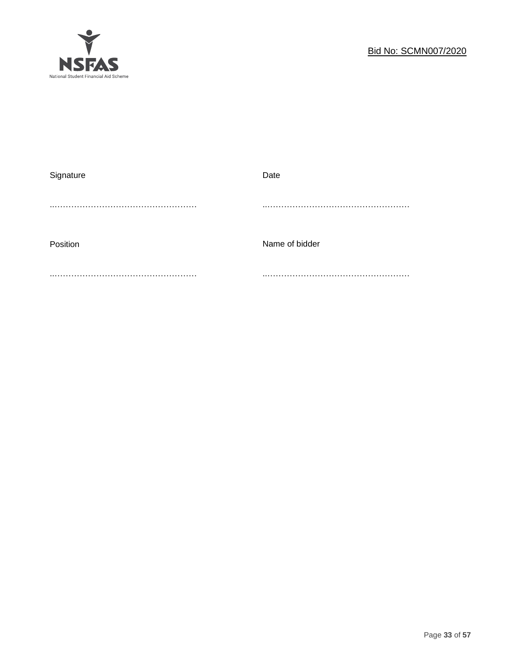

| Signature | Date           |
|-----------|----------------|
|           |                |
|           |                |
|           |                |
| Position  | Name of bidder |
|           |                |
|           |                |
|           |                |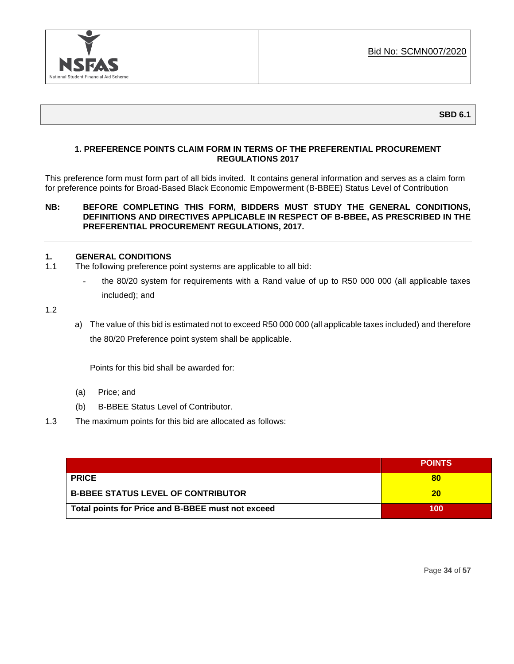

**SBD 6.1**

## **1. PREFERENCE POINTS CLAIM FORM IN TERMS OF THE PREFERENTIAL PROCUREMENT REGULATIONS 2017**

This preference form must form part of all bids invited. It contains general information and serves as a claim form for preference points for Broad-Based Black Economic Empowerment (B-BBEE) Status Level of Contribution

## **NB: BEFORE COMPLETING THIS FORM, BIDDERS MUST STUDY THE GENERAL CONDITIONS, DEFINITIONS AND DIRECTIVES APPLICABLE IN RESPECT OF B-BBEE, AS PRESCRIBED IN THE PREFERENTIAL PROCUREMENT REGULATIONS, 2017.**

## **1. GENERAL CONDITIONS**

- 1.1 The following preference point systems are applicable to all bid:
	- the 80/20 system for requirements with a Rand value of up to R50 000 000 (all applicable taxes included); and

1.2

a) The value of this bid is estimated not to exceed R50 000 000 (all applicable taxes included) and therefore the 80/20 Preference point system shall be applicable.

Points for this bid shall be awarded for:

- (a) Price; and
- (b) B-BBEE Status Level of Contributor.
- 1.3 The maximum points for this bid are allocated as follows:

|                                                   | <b>POINTS</b> |
|---------------------------------------------------|---------------|
| <b>PRICE</b>                                      | 80            |
| <b>B-BBEE STATUS LEVEL OF CONTRIBUTOR</b>         | 20            |
| Total points for Price and B-BBEE must not exceed | 100           |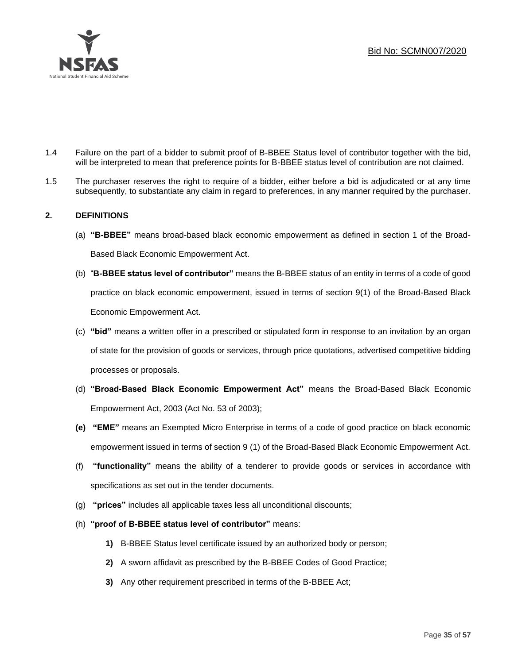

- 1.4 Failure on the part of a bidder to submit proof of B-BBEE Status level of contributor together with the bid, will be interpreted to mean that preference points for B-BBEE status level of contribution are not claimed.
- 1.5 The purchaser reserves the right to require of a bidder, either before a bid is adjudicated or at any time subsequently, to substantiate any claim in regard to preferences, in any manner required by the purchaser.

## **2. DEFINITIONS**

- (a) **"B-BBEE"** means broad-based black economic empowerment as defined in section 1 of the Broad-Based Black Economic Empowerment Act.
- (b) "**B-BBEE status level of contributor"** means the B-BBEE status of an entity in terms of a code of good practice on black economic empowerment, issued in terms of section 9(1) of the Broad-Based Black Economic Empowerment Act.
- (c) **"bid"** means a written offer in a prescribed or stipulated form in response to an invitation by an organ of state for the provision of goods or services, through price quotations, advertised competitive bidding processes or proposals.
- (d) **"Broad-Based Black Economic Empowerment Act"** means the Broad-Based Black Economic Empowerment Act, 2003 (Act No. 53 of 2003);
- **(e) "EME"** means an Exempted Micro Enterprise in terms of a code of good practice on black economic empowerment issued in terms of section 9 (1) of the Broad-Based Black Economic Empowerment Act.
- (f) **"functionality"** means the ability of a tenderer to provide goods or services in accordance with specifications as set out in the tender documents.
- (g) **"prices"** includes all applicable taxes less all unconditional discounts;
- (h) **"proof of B-BBEE status level of contributor"** means:
	- **1)** B-BBEE Status level certificate issued by an authorized body or person;
	- **2)** A sworn affidavit as prescribed by the B-BBEE Codes of Good Practice;
	- **3)** Any other requirement prescribed in terms of the B-BBEE Act;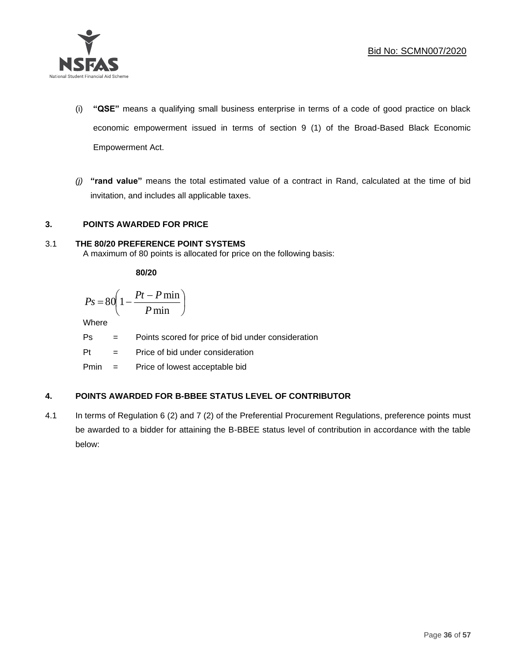

- (i) **"QSE"** means a qualifying small business enterprise in terms of a code of good practice on black economic empowerment issued in terms of section 9 (1) of the Broad-Based Black Economic Empowerment Act.
- *(j)* **"rand value"** means the total estimated value of a contract in Rand, calculated at the time of bid invitation, and includes all applicable taxes.

## **3. POINTS AWARDED FOR PRICE**

## 3.1 **THE 80/20 PREFERENCE POINT SYSTEMS**

A maximum of 80 points is allocated for price on the following basis:

**80/20**

$$
Ps = 80 \left( 1 - \frac{Pt - P \min}{P \min} \right)
$$

Where

- Ps = Points scored for price of bid under consideration
- Pt = Price of bid under consideration

Pmin = Price of lowest acceptable bid

## **4. POINTS AWARDED FOR B-BBEE STATUS LEVEL OF CONTRIBUTOR**

4.1 In terms of Regulation 6 (2) and 7 (2) of the Preferential Procurement Regulations, preference points must be awarded to a bidder for attaining the B-BBEE status level of contribution in accordance with the table below: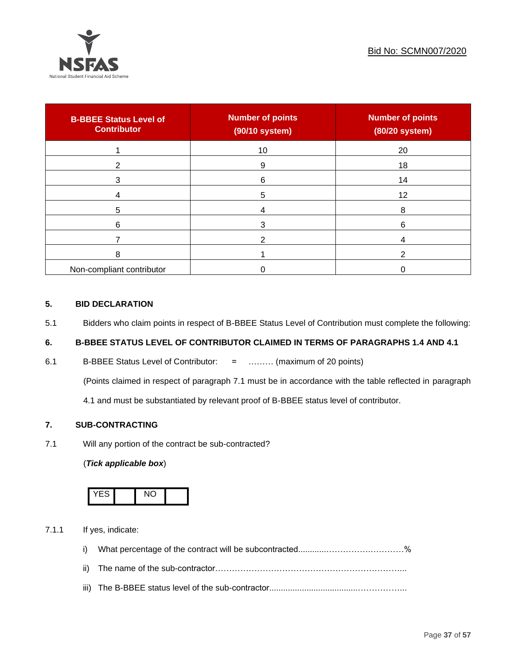

| <b>B-BBEE Status Level of</b><br><b>Contributor</b> | <b>Number of points</b><br>(90/10 system) | <b>Number of points</b><br>(80/20 system) |
|-----------------------------------------------------|-------------------------------------------|-------------------------------------------|
|                                                     | 10                                        | 20                                        |
| 2                                                   | 9                                         | 18                                        |
| 3                                                   | 6                                         | 14                                        |
|                                                     | 5                                         | 12                                        |
| 5                                                   |                                           | 8                                         |
| 6                                                   |                                           | 6                                         |
|                                                     |                                           |                                           |
| 8                                                   |                                           |                                           |
| Non-compliant contributor                           |                                           |                                           |

## **5. BID DECLARATION**

5.1 Bidders who claim points in respect of B-BBEE Status Level of Contribution must complete the following:

## **6. B-BBEE STATUS LEVEL OF CONTRIBUTOR CLAIMED IN TERMS OF PARAGRAPHS 1.4 AND 4.1**

6.1 B-BBEE Status Level of Contributor: = ……… (maximum of 20 points)

(Points claimed in respect of paragraph 7.1 must be in accordance with the table reflected in paragraph

4.1 and must be substantiated by relevant proof of B-BBEE status level of contributor.

## **7. SUB-CONTRACTING**

7.1 Will any portion of the contract be sub-contracted?

## (*Tick applicable box*)



7.1.1 If yes, indicate:

- i) What percentage of the contract will be subcontracted............…………….…………%
- ii) The name of the sub-contractor…………………………………………………………...
- iii) The B-BBEE status level of the sub-contractor......................................……………...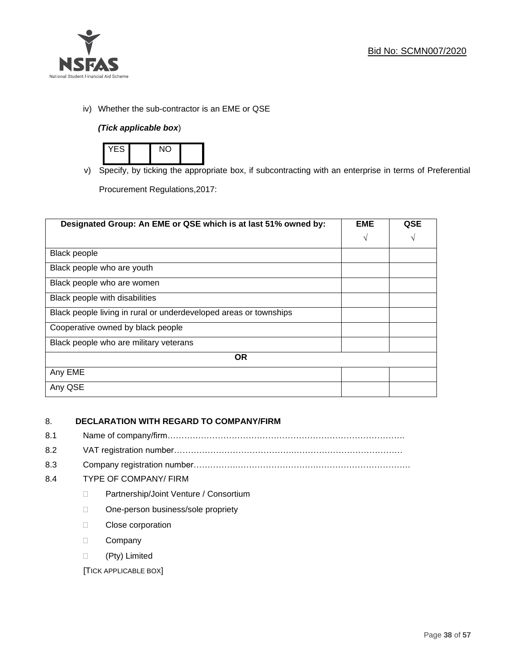

iv) Whether the sub-contractor is an EME or QSE

## *(Tick applicable box*)



v) Specify, by ticking the appropriate box, if subcontracting with an enterprise in terms of Preferential

Procurement Regulations,2017:

| Designated Group: An EME or QSE which is at last 51% owned by:    |            | QSE |
|-------------------------------------------------------------------|------------|-----|
|                                                                   | $\sqrt{ }$ | V   |
| <b>Black people</b>                                               |            |     |
| Black people who are youth                                        |            |     |
| Black people who are women                                        |            |     |
| Black people with disabilities                                    |            |     |
| Black people living in rural or underdeveloped areas or townships |            |     |
| Cooperative owned by black people                                 |            |     |
| Black people who are military veterans                            |            |     |
| <b>OR</b>                                                         |            |     |
| Any EME                                                           |            |     |
| Any QSE                                                           |            |     |

## 8. **DECLARATION WITH REGARD TO COMPANY/FIRM**

- 8.1 Name of company/firm………………………………………………………………………….
- 8.2 VAT registration number…………………………………….…………………………………
- 8.3 Company registration number…………….……………………….…………………………….

## 8.4 TYPE OF COMPANY/ FIRM

- D Partnership/Joint Venture / Consortium
- □ One-person business/sole propriety
- **Close corporation**
- D Company
- (Pty) Limited

[TICK APPLICABLE BOX]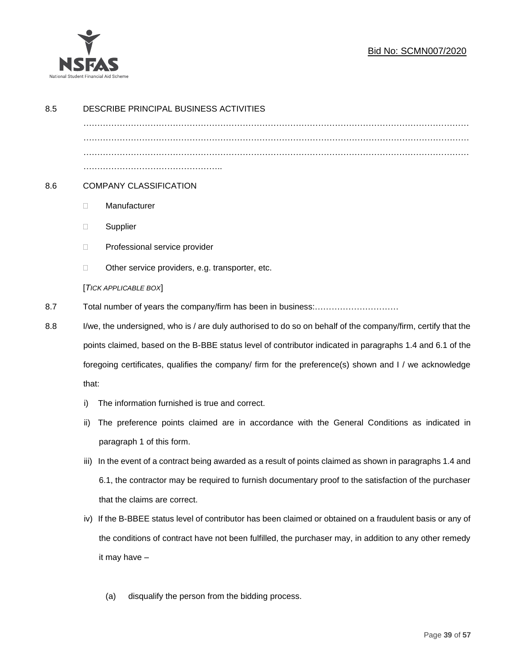

## Bid No: SCMN007/2020

| 8.5 | DESCRIBE PRINCIPAL BUSINESS ACTIVITIES                                                                        |  |  |
|-----|---------------------------------------------------------------------------------------------------------------|--|--|
|     |                                                                                                               |  |  |
|     |                                                                                                               |  |  |
| 8.6 | <b>COMPANY CLASSIFICATION</b>                                                                                 |  |  |
|     | Manufacturer<br>$\Box$                                                                                        |  |  |
|     | Supplier<br>$\Box$                                                                                            |  |  |
|     | Professional service provider<br>$\Box$                                                                       |  |  |
|     | Other service providers, e.g. transporter, etc.<br>$\Box$                                                     |  |  |
|     | [TICK APPLICABLE BOX]                                                                                         |  |  |
| 8.7 | Total number of years the company/firm has been in business:                                                  |  |  |
| 8.8 | I/we, the undersigned, who is / are duly authorised to do so on behalf of the company/firm, certify that the  |  |  |
|     | points claimed, based on the B-BBE status level of contributor indicated in paragraphs 1.4 and 6.1 of the     |  |  |
|     | foregoing certificates, qualifies the company/ firm for the preference(s) shown and I / we acknowledge        |  |  |
|     | that:                                                                                                         |  |  |
|     | The information furnished is true and correct.<br>i)                                                          |  |  |
|     | The preference points claimed are in accordance with the General Conditions as indicated in<br>ii)            |  |  |
|     | paragraph 1 of this form.                                                                                     |  |  |
|     | In the event of a contract being awarded as a result of points claimed as shown in paragraphs 1.4 and<br>iii) |  |  |
|     | 6.1, the contractor may be required to furnish documentary proof to the satisfaction of the purchaser         |  |  |
|     | that the claims are correct.                                                                                  |  |  |
|     | If the B-BBEE status level of contributor has been claimed or obtained on a fraudulent basis or any of<br>iv) |  |  |
|     | the conditions of contract have not been fulfilled, the purchaser may, in addition to any other remedy        |  |  |
|     | it may have -                                                                                                 |  |  |
|     | disqualify the person from the bidding process.<br>(a)                                                        |  |  |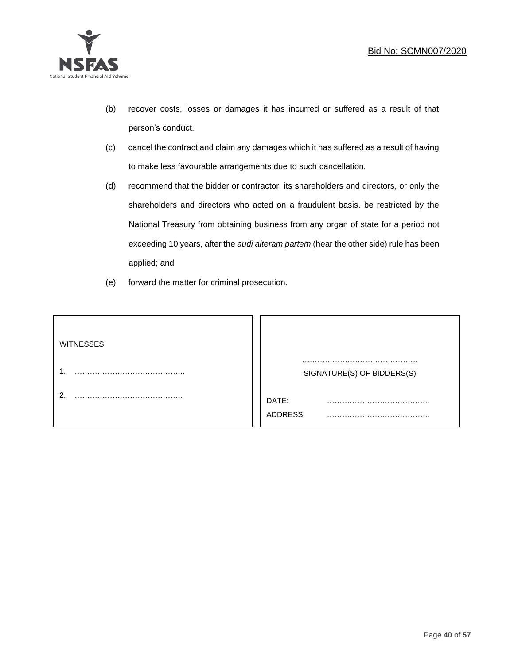

- (b) recover costs, losses or damages it has incurred or suffered as a result of that person's conduct.
- (c) cancel the contract and claim any damages which it has suffered as a result of having to make less favourable arrangements due to such cancellation.
- (d) recommend that the bidder or contractor, its shareholders and directors, or only the shareholders and directors who acted on a fraudulent basis, be restricted by the National Treasury from obtaining business from any organ of state for a period not exceeding 10 years, after the *audi alteram partem* (hear the other side) rule has been applied; and
- (e) forward the matter for criminal prosecution.

| <b>WITNESSES</b> |                              |
|------------------|------------------------------|
|                  | SIGNATURE(S) OF BIDDERS(S)   |
|                  | DATE:<br>.<br><b>ADDRESS</b> |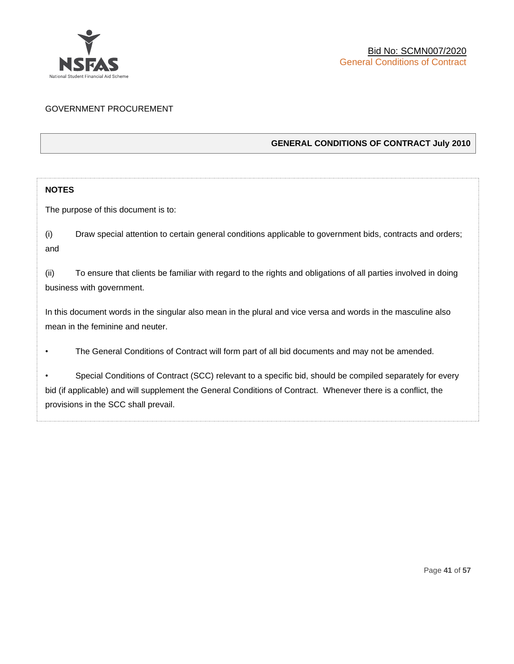

## GOVERNMENT PROCUREMENT

## **GENERAL CONDITIONS OF CONTRACT July 2010**

## **NOTES**

The purpose of this document is to:

(i) Draw special attention to certain general conditions applicable to government bids, contracts and orders; and

(ii) To ensure that clients be familiar with regard to the rights and obligations of all parties involved in doing business with government.

In this document words in the singular also mean in the plural and vice versa and words in the masculine also mean in the feminine and neuter.

• The General Conditions of Contract will form part of all bid documents and may not be amended.

Special Conditions of Contract (SCC) relevant to a specific bid, should be compiled separately for every bid (if applicable) and will supplement the General Conditions of Contract. Whenever there is a conflict, the provisions in the SCC shall prevail.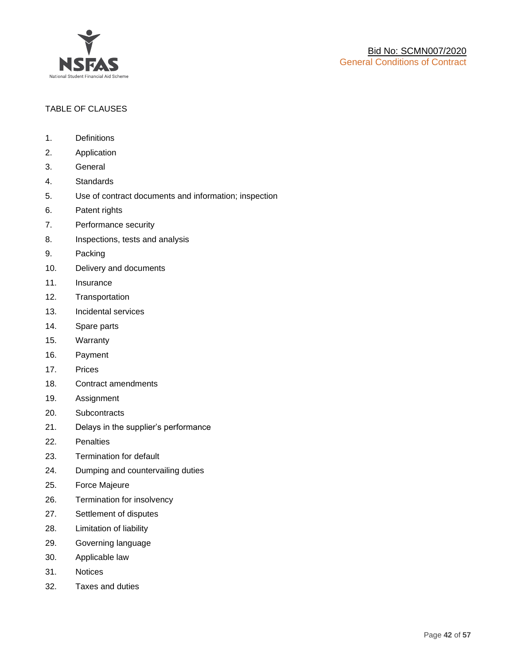

## TABLE OF CLAUSES

- 1. Definitions
- 2. Application
- 3. General
- 4. Standards
- 5. Use of contract documents and information; inspection
- 6. Patent rights
- 7. Performance security
- 8. Inspections, tests and analysis
- 9. Packing
- 10. Delivery and documents
- 11. Insurance
- 12. Transportation
- 13. Incidental services
- 14. Spare parts
- 15. Warranty
- 16. Payment
- 17. Prices
- 18. Contract amendments
- 19. Assignment
- 20. Subcontracts
- 21. Delays in the supplier's performance
- 22. Penalties
- 23. Termination for default
- 24. Dumping and countervailing duties
- 25. Force Majeure
- 26. Termination for insolvency
- 27. Settlement of disputes
- 28. Limitation of liability
- 29. Governing language
- 30. Applicable law
- 31. Notices
- 32. Taxes and duties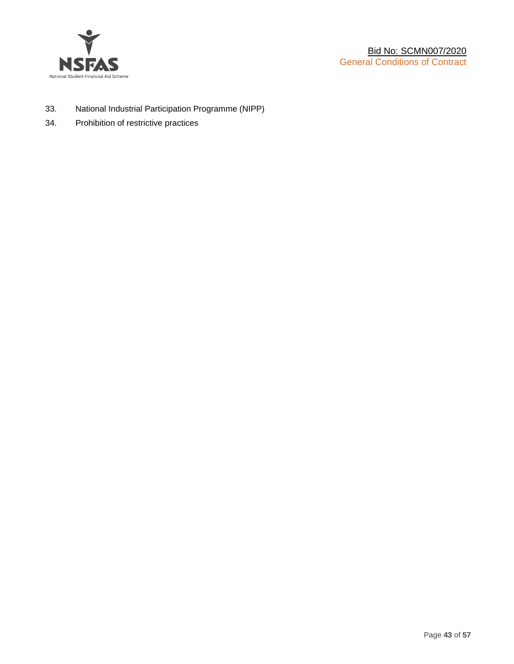

- 33. National Industrial Participation Programme (NIPP)
- 34. Prohibition of restrictive practices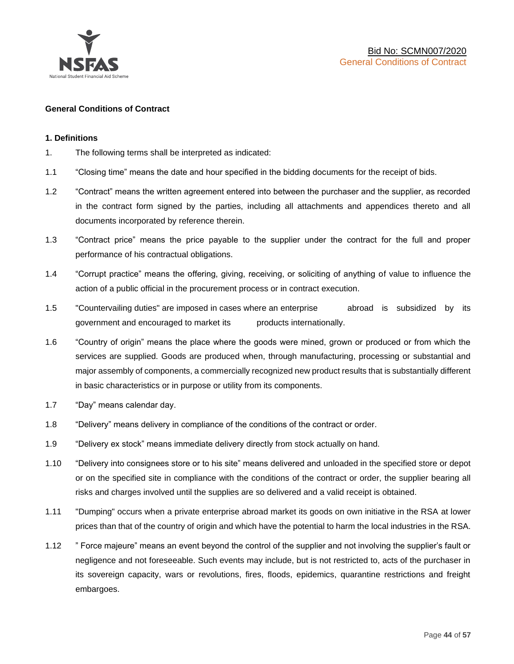

## **General Conditions of Contract**

## **1. Definitions**

- 1. The following terms shall be interpreted as indicated:
- 1.1 "Closing time" means the date and hour specified in the bidding documents for the receipt of bids.
- 1.2 "Contract" means the written agreement entered into between the purchaser and the supplier, as recorded in the contract form signed by the parties, including all attachments and appendices thereto and all documents incorporated by reference therein.
- 1.3 "Contract price" means the price payable to the supplier under the contract for the full and proper performance of his contractual obligations.
- 1.4 "Corrupt practice" means the offering, giving, receiving, or soliciting of anything of value to influence the action of a public official in the procurement process or in contract execution.
- 1.5 "Countervailing duties" are imposed in cases where an enterprise abroad is subsidized by its government and encouraged to market its products internationally.
- 1.6 "Country of origin" means the place where the goods were mined, grown or produced or from which the services are supplied. Goods are produced when, through manufacturing, processing or substantial and major assembly of components, a commercially recognized new product results that is substantially different in basic characteristics or in purpose or utility from its components.
- 1.7 "Day" means calendar day.
- 1.8 "Delivery" means delivery in compliance of the conditions of the contract or order.
- 1.9 "Delivery ex stock" means immediate delivery directly from stock actually on hand.
- 1.10 "Delivery into consignees store or to his site" means delivered and unloaded in the specified store or depot or on the specified site in compliance with the conditions of the contract or order, the supplier bearing all risks and charges involved until the supplies are so delivered and a valid receipt is obtained.
- 1.11 "Dumping" occurs when a private enterprise abroad market its goods on own initiative in the RSA at lower prices than that of the country of origin and which have the potential to harm the local industries in the RSA.
- 1.12 " Force majeure" means an event beyond the control of the supplier and not involving the supplier's fault or negligence and not foreseeable. Such events may include, but is not restricted to, acts of the purchaser in its sovereign capacity, wars or revolutions, fires, floods, epidemics, quarantine restrictions and freight embargoes.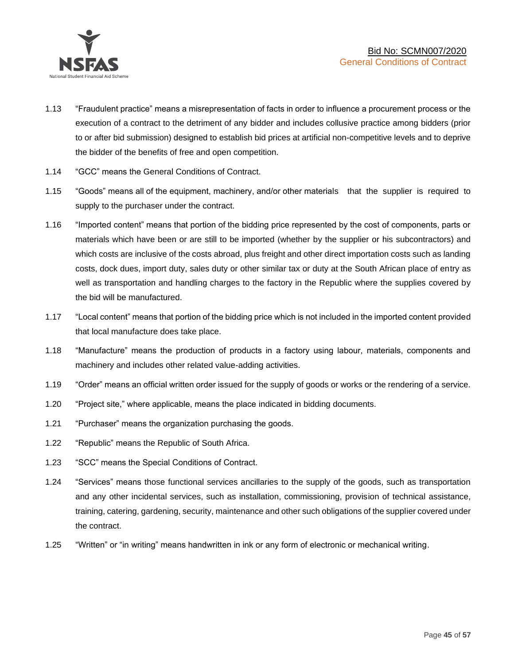

- 1.13 "Fraudulent practice" means a misrepresentation of facts in order to influence a procurement process or the execution of a contract to the detriment of any bidder and includes collusive practice among bidders (prior to or after bid submission) designed to establish bid prices at artificial non-competitive levels and to deprive the bidder of the benefits of free and open competition.
- 1.14 "GCC" means the General Conditions of Contract.
- 1.15 "Goods" means all of the equipment, machinery, and/or other materials that the supplier is required to supply to the purchaser under the contract.
- 1.16 "Imported content" means that portion of the bidding price represented by the cost of components, parts or materials which have been or are still to be imported (whether by the supplier or his subcontractors) and which costs are inclusive of the costs abroad, plus freight and other direct importation costs such as landing costs, dock dues, import duty, sales duty or other similar tax or duty at the South African place of entry as well as transportation and handling charges to the factory in the Republic where the supplies covered by the bid will be manufactured.
- 1.17 "Local content" means that portion of the bidding price which is not included in the imported content provided that local manufacture does take place.
- 1.18 "Manufacture" means the production of products in a factory using labour, materials, components and machinery and includes other related value-adding activities.
- 1.19 "Order" means an official written order issued for the supply of goods or works or the rendering of a service.
- 1.20 "Project site," where applicable, means the place indicated in bidding documents.
- 1.21 "Purchaser" means the organization purchasing the goods.
- 1.22 "Republic" means the Republic of South Africa.
- 1.23 "SCC" means the Special Conditions of Contract.
- 1.24 "Services" means those functional services ancillaries to the supply of the goods, such as transportation and any other incidental services, such as installation, commissioning, provision of technical assistance, training, catering, gardening, security, maintenance and other such obligations of the supplier covered under the contract.
- 1.25 "Written" or "in writing" means handwritten in ink or any form of electronic or mechanical writing.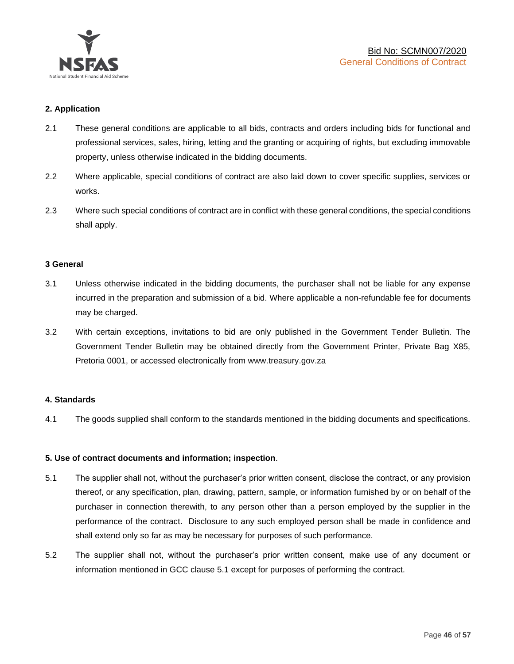

## **2. Application**

- 2.1 These general conditions are applicable to all bids, contracts and orders including bids for functional and professional services, sales, hiring, letting and the granting or acquiring of rights, but excluding immovable property, unless otherwise indicated in the bidding documents.
- 2.2 Where applicable, special conditions of contract are also laid down to cover specific supplies, services or works.
- 2.3 Where such special conditions of contract are in conflict with these general conditions, the special conditions shall apply.

## **3 General**

- 3.1 Unless otherwise indicated in the bidding documents, the purchaser shall not be liable for any expense incurred in the preparation and submission of a bid. Where applicable a non-refundable fee for documents may be charged.
- 3.2 With certain exceptions, invitations to bid are only published in the Government Tender Bulletin. The Government Tender Bulletin may be obtained directly from the Government Printer, Private Bag X85, Pretoria 0001, or accessed electronically from [www.treasury.gov.za](http://www.treasury.gov.za/)

## **4. Standards**

4.1 The goods supplied shall conform to the standards mentioned in the bidding documents and specifications.

## **5. Use of contract documents and information; inspection**.

- 5.1 The supplier shall not, without the purchaser's prior written consent, disclose the contract, or any provision thereof, or any specification, plan, drawing, pattern, sample, or information furnished by or on behalf of the purchaser in connection therewith, to any person other than a person employed by the supplier in the performance of the contract. Disclosure to any such employed person shall be made in confidence and shall extend only so far as may be necessary for purposes of such performance.
- 5.2 The supplier shall not, without the purchaser's prior written consent, make use of any document or information mentioned in GCC clause 5.1 except for purposes of performing the contract.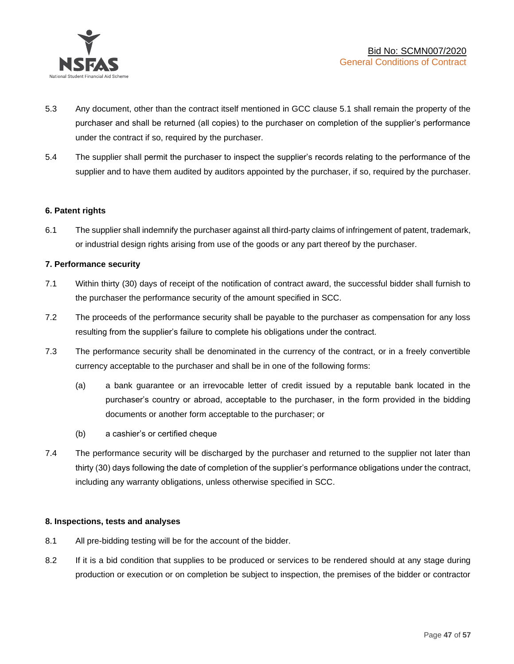

- 5.3 Any document, other than the contract itself mentioned in GCC clause 5.1 shall remain the property of the purchaser and shall be returned (all copies) to the purchaser on completion of the supplier's performance under the contract if so, required by the purchaser.
- 5.4 The supplier shall permit the purchaser to inspect the supplier's records relating to the performance of the supplier and to have them audited by auditors appointed by the purchaser, if so, required by the purchaser.

## **6. Patent rights**

6.1 The supplier shall indemnify the purchaser against all third-party claims of infringement of patent, trademark, or industrial design rights arising from use of the goods or any part thereof by the purchaser.

## **7. Performance security**

- 7.1 Within thirty (30) days of receipt of the notification of contract award, the successful bidder shall furnish to the purchaser the performance security of the amount specified in SCC.
- 7.2 The proceeds of the performance security shall be payable to the purchaser as compensation for any loss resulting from the supplier's failure to complete his obligations under the contract.
- 7.3 The performance security shall be denominated in the currency of the contract, or in a freely convertible currency acceptable to the purchaser and shall be in one of the following forms:
	- (a) a bank guarantee or an irrevocable letter of credit issued by a reputable bank located in the purchaser's country or abroad, acceptable to the purchaser, in the form provided in the bidding documents or another form acceptable to the purchaser; or
	- (b) a cashier's or certified cheque
- 7.4 The performance security will be discharged by the purchaser and returned to the supplier not later than thirty (30) days following the date of completion of the supplier's performance obligations under the contract, including any warranty obligations, unless otherwise specified in SCC.

## **8. Inspections, tests and analyses**

- 8.1 All pre-bidding testing will be for the account of the bidder.
- 8.2 If it is a bid condition that supplies to be produced or services to be rendered should at any stage during production or execution or on completion be subject to inspection, the premises of the bidder or contractor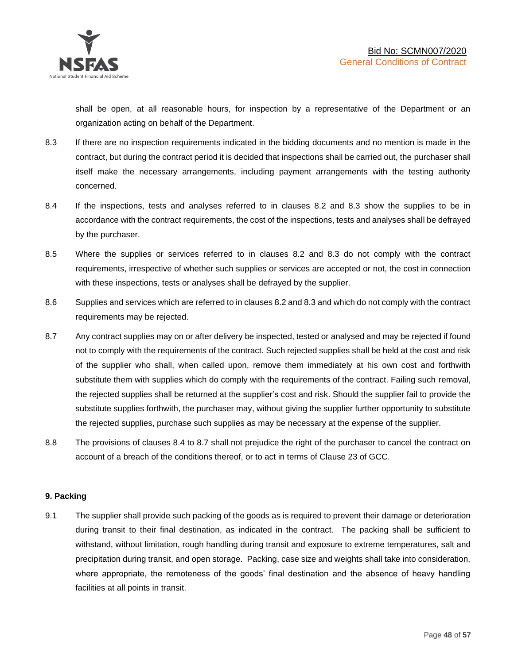shall be open, at all reasonable hours, for inspection by a representative of the Department or an organization acting on behalf of the Department.

- 8.3 If there are no inspection requirements indicated in the bidding documents and no mention is made in the contract, but during the contract period it is decided that inspections shall be carried out, the purchaser shall itself make the necessary arrangements, including payment arrangements with the testing authority concerned.
- 8.4 If the inspections, tests and analyses referred to in clauses 8.2 and 8.3 show the supplies to be in accordance with the contract requirements, the cost of the inspections, tests and analyses shall be defrayed by the purchaser.
- 8.5 Where the supplies or services referred to in clauses 8.2 and 8.3 do not comply with the contract requirements, irrespective of whether such supplies or services are accepted or not, the cost in connection with these inspections, tests or analyses shall be defrayed by the supplier.
- 8.6 Supplies and services which are referred to in clauses 8.2 and 8.3 and which do not comply with the contract requirements may be rejected.
- 8.7 Any contract supplies may on or after delivery be inspected, tested or analysed and may be rejected if found not to comply with the requirements of the contract. Such rejected supplies shall be held at the cost and risk of the supplier who shall, when called upon, remove them immediately at his own cost and forthwith substitute them with supplies which do comply with the requirements of the contract. Failing such removal, the rejected supplies shall be returned at the supplier's cost and risk. Should the supplier fail to provide the substitute supplies forthwith, the purchaser may, without giving the supplier further opportunity to substitute the rejected supplies, purchase such supplies as may be necessary at the expense of the supplier.
- 8.8 The provisions of clauses 8.4 to 8.7 shall not prejudice the right of the purchaser to cancel the contract on account of a breach of the conditions thereof, or to act in terms of Clause 23 of GCC.

## **9. Packing**

9.1 The supplier shall provide such packing of the goods as is required to prevent their damage or deterioration during transit to their final destination, as indicated in the contract. The packing shall be sufficient to withstand, without limitation, rough handling during transit and exposure to extreme temperatures, salt and precipitation during transit, and open storage. Packing, case size and weights shall take into consideration, where appropriate, the remoteness of the goods' final destination and the absence of heavy handling facilities at all points in transit.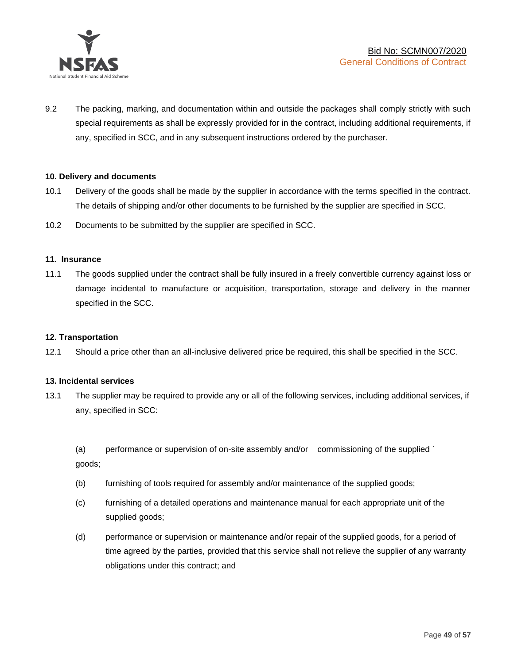

9.2 The packing, marking, and documentation within and outside the packages shall comply strictly with such special requirements as shall be expressly provided for in the contract, including additional requirements, if any, specified in SCC, and in any subsequent instructions ordered by the purchaser.

## **10. Delivery and documents**

- 10.1 Delivery of the goods shall be made by the supplier in accordance with the terms specified in the contract. The details of shipping and/or other documents to be furnished by the supplier are specified in SCC.
- 10.2 Documents to be submitted by the supplier are specified in SCC.

#### **11. Insurance**

11.1 The goods supplied under the contract shall be fully insured in a freely convertible currency against loss or damage incidental to manufacture or acquisition, transportation, storage and delivery in the manner specified in the SCC.

## **12. Transportation**

12.1 Should a price other than an all-inclusive delivered price be required, this shall be specified in the SCC.

#### **13. Incidental services**

13.1 The supplier may be required to provide any or all of the following services, including additional services, if any, specified in SCC:

(a) performance or supervision of on-site assembly and/or commissioning of the supplied ` goods;

- (b) furnishing of tools required for assembly and/or maintenance of the supplied goods;
- (c) furnishing of a detailed operations and maintenance manual for each appropriate unit of the supplied goods;
- (d) performance or supervision or maintenance and/or repair of the supplied goods, for a period of time agreed by the parties, provided that this service shall not relieve the supplier of any warranty obligations under this contract; and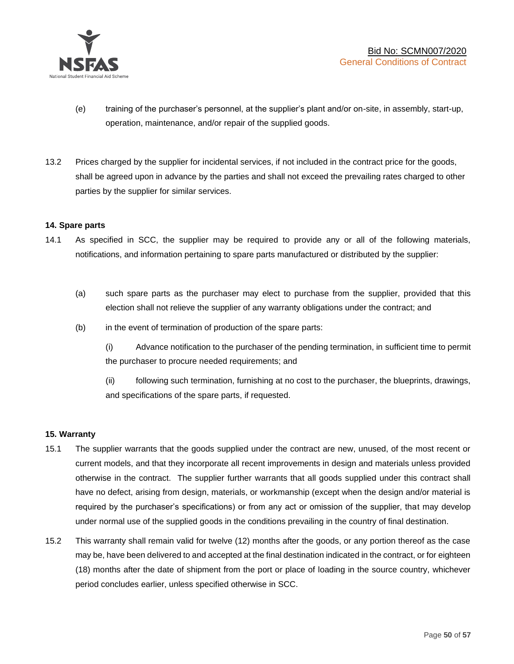

- (e) training of the purchaser's personnel, at the supplier's plant and/or on-site, in assembly, start-up, operation, maintenance, and/or repair of the supplied goods.
- 13.2 Prices charged by the supplier for incidental services, if not included in the contract price for the goods, shall be agreed upon in advance by the parties and shall not exceed the prevailing rates charged to other parties by the supplier for similar services.

## **14. Spare parts**

- 14.1 As specified in SCC, the supplier may be required to provide any or all of the following materials, notifications, and information pertaining to spare parts manufactured or distributed by the supplier:
	- (a) such spare parts as the purchaser may elect to purchase from the supplier, provided that this election shall not relieve the supplier of any warranty obligations under the contract; and
	- (b) in the event of termination of production of the spare parts:

(i) Advance notification to the purchaser of the pending termination, in sufficient time to permit the purchaser to procure needed requirements; and

(ii) following such termination, furnishing at no cost to the purchaser, the blueprints, drawings, and specifications of the spare parts, if requested.

## **15. Warranty**

- 15.1 The supplier warrants that the goods supplied under the contract are new, unused, of the most recent or current models, and that they incorporate all recent improvements in design and materials unless provided otherwise in the contract. The supplier further warrants that all goods supplied under this contract shall have no defect, arising from design, materials, or workmanship (except when the design and/or material is required by the purchaser's specifications) or from any act or omission of the supplier, that may develop under normal use of the supplied goods in the conditions prevailing in the country of final destination.
- 15.2 This warranty shall remain valid for twelve (12) months after the goods, or any portion thereof as the case may be, have been delivered to and accepted at the final destination indicated in the contract, or for eighteen (18) months after the date of shipment from the port or place of loading in the source country, whichever period concludes earlier, unless specified otherwise in SCC.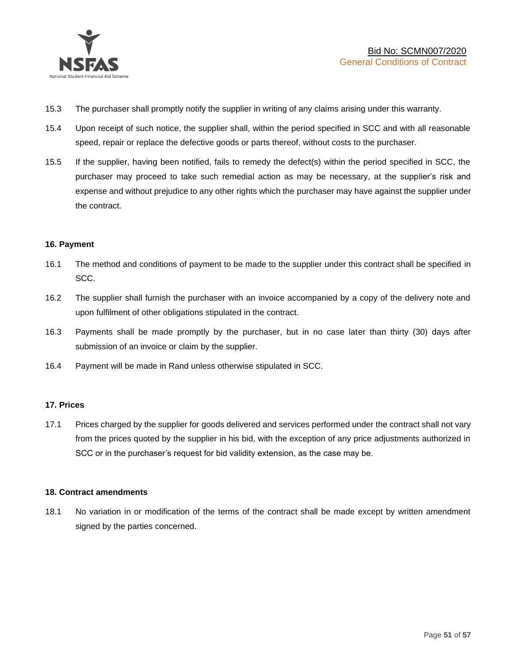

- 15.3 The purchaser shall promptly notify the supplier in writing of any claims arising under this warranty.
- 15.4 Upon receipt of such notice, the supplier shall, within the period specified in SCC and with all reasonable speed, repair or replace the defective goods or parts thereof, without costs to the purchaser.
- 15.5 If the supplier, having been notified, fails to remedy the defect(s) within the period specified in SCC, the purchaser may proceed to take such remedial action as may be necessary, at the supplier's risk and expense and without prejudice to any other rights which the purchaser may have against the supplier under the contract.

## **16. Payment**

- 16.1 The method and conditions of payment to be made to the supplier under this contract shall be specified in SCC.
- 16.2 The supplier shall furnish the purchaser with an invoice accompanied by a copy of the delivery note and upon fulfilment of other obligations stipulated in the contract.
- 16.3 Payments shall be made promptly by the purchaser, but in no case later than thirty (30) days after submission of an invoice or claim by the supplier.
- 16.4 Payment will be made in Rand unless otherwise stipulated in SCC.

## **17. Prices**

17.1 Prices charged by the supplier for goods delivered and services performed under the contract shall not vary from the prices quoted by the supplier in his bid, with the exception of any price adjustments authorized in SCC or in the purchaser's request for bid validity extension, as the case may be.

## **18. Contract amendments**

18.1 No variation in or modification of the terms of the contract shall be made except by written amendment signed by the parties concerned.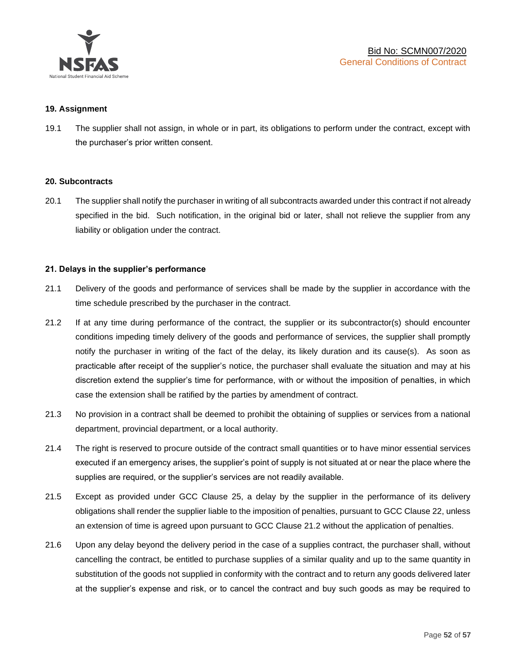

## **19. Assignment**

19.1 The supplier shall not assign, in whole or in part, its obligations to perform under the contract, except with the purchaser's prior written consent.

## **20. Subcontracts**

20.1 The supplier shall notify the purchaser in writing of all subcontracts awarded under this contract if not already specified in the bid. Such notification, in the original bid or later, shall not relieve the supplier from any liability or obligation under the contract.

## **21. Delays in the supplier's performance**

- 21.1 Delivery of the goods and performance of services shall be made by the supplier in accordance with the time schedule prescribed by the purchaser in the contract.
- 21.2 If at any time during performance of the contract, the supplier or its subcontractor(s) should encounter conditions impeding timely delivery of the goods and performance of services, the supplier shall promptly notify the purchaser in writing of the fact of the delay, its likely duration and its cause(s). As soon as practicable after receipt of the supplier's notice, the purchaser shall evaluate the situation and may at his discretion extend the supplier's time for performance, with or without the imposition of penalties, in which case the extension shall be ratified by the parties by amendment of contract.
- 21.3 No provision in a contract shall be deemed to prohibit the obtaining of supplies or services from a national department, provincial department, or a local authority.
- 21.4 The right is reserved to procure outside of the contract small quantities or to have minor essential services executed if an emergency arises, the supplier's point of supply is not situated at or near the place where the supplies are required, or the supplier's services are not readily available.
- 21.5 Except as provided under GCC Clause 25, a delay by the supplier in the performance of its delivery obligations shall render the supplier liable to the imposition of penalties, pursuant to GCC Clause 22, unless an extension of time is agreed upon pursuant to GCC Clause 21.2 without the application of penalties.
- 21.6 Upon any delay beyond the delivery period in the case of a supplies contract, the purchaser shall, without cancelling the contract, be entitled to purchase supplies of a similar quality and up to the same quantity in substitution of the goods not supplied in conformity with the contract and to return any goods delivered later at the supplier's expense and risk, or to cancel the contract and buy such goods as may be required to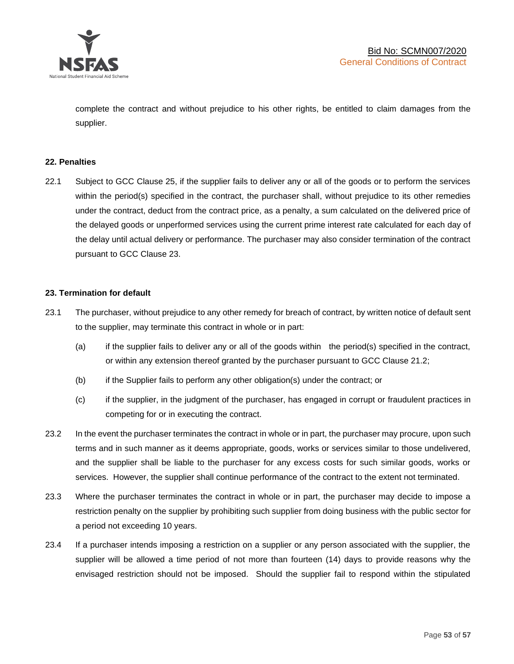

complete the contract and without prejudice to his other rights, be entitled to claim damages from the supplier.

## **22. Penalties**

22.1 Subject to GCC Clause 25, if the supplier fails to deliver any or all of the goods or to perform the services within the period(s) specified in the contract, the purchaser shall, without prejudice to its other remedies under the contract, deduct from the contract price, as a penalty, a sum calculated on the delivered price of the delayed goods or unperformed services using the current prime interest rate calculated for each day of the delay until actual delivery or performance. The purchaser may also consider termination of the contract pursuant to GCC Clause 23.

## **23. Termination for default**

- 23.1 The purchaser, without prejudice to any other remedy for breach of contract, by written notice of default sent to the supplier, may terminate this contract in whole or in part:
	- (a) if the supplier fails to deliver any or all of the goods within the period(s) specified in the contract, or within any extension thereof granted by the purchaser pursuant to GCC Clause 21.2;
	- (b) if the Supplier fails to perform any other obligation(s) under the contract; or
	- (c) if the supplier, in the judgment of the purchaser, has engaged in corrupt or fraudulent practices in competing for or in executing the contract.
- 23.2 In the event the purchaser terminates the contract in whole or in part, the purchaser may procure, upon such terms and in such manner as it deems appropriate, goods, works or services similar to those undelivered, and the supplier shall be liable to the purchaser for any excess costs for such similar goods, works or services. However, the supplier shall continue performance of the contract to the extent not terminated.
- 23.3 Where the purchaser terminates the contract in whole or in part, the purchaser may decide to impose a restriction penalty on the supplier by prohibiting such supplier from doing business with the public sector for a period not exceeding 10 years.
- 23.4 If a purchaser intends imposing a restriction on a supplier or any person associated with the supplier, the supplier will be allowed a time period of not more than fourteen (14) days to provide reasons why the envisaged restriction should not be imposed. Should the supplier fail to respond within the stipulated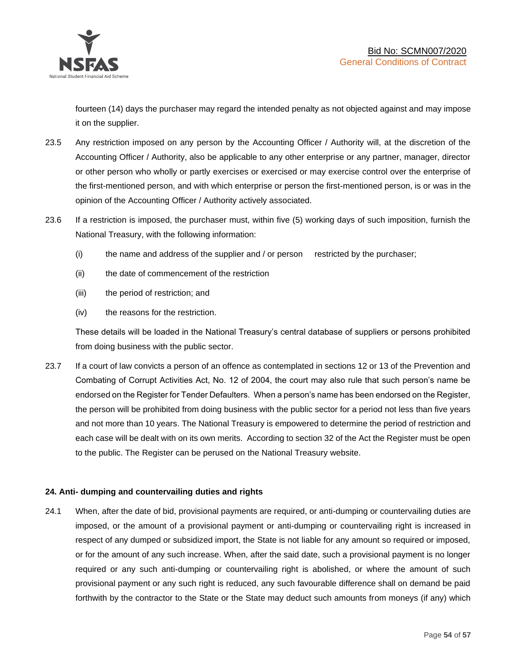

fourteen (14) days the purchaser may regard the intended penalty as not objected against and may impose it on the supplier.

- 23.5 Any restriction imposed on any person by the Accounting Officer / Authority will, at the discretion of the Accounting Officer / Authority, also be applicable to any other enterprise or any partner, manager, director or other person who wholly or partly exercises or exercised or may exercise control over the enterprise of the first-mentioned person, and with which enterprise or person the first-mentioned person, is or was in the opinion of the Accounting Officer / Authority actively associated.
- 23.6 If a restriction is imposed, the purchaser must, within five (5) working days of such imposition, furnish the National Treasury, with the following information:
	- (i) the name and address of the supplier and / or person restricted by the purchaser;
	- (ii) the date of commencement of the restriction
	- (iii) the period of restriction; and
	- (iv) the reasons for the restriction.

These details will be loaded in the National Treasury's central database of suppliers or persons prohibited from doing business with the public sector.

23.7 If a court of law convicts a person of an offence as contemplated in sections 12 or 13 of the Prevention and Combating of Corrupt Activities Act, No. 12 of 2004, the court may also rule that such person's name be endorsed on the Register for Tender Defaulters. When a person's name has been endorsed on the Register, the person will be prohibited from doing business with the public sector for a period not less than five years and not more than 10 years. The National Treasury is empowered to determine the period of restriction and each case will be dealt with on its own merits. According to section 32 of the Act the Register must be open to the public. The Register can be perused on the National Treasury website.

## **24. Anti- dumping and countervailing duties and rights**

24.1 When, after the date of bid, provisional payments are required, or anti-dumping or countervailing duties are imposed, or the amount of a provisional payment or anti-dumping or countervailing right is increased in respect of any dumped or subsidized import, the State is not liable for any amount so required or imposed, or for the amount of any such increase. When, after the said date, such a provisional payment is no longer required or any such anti-dumping or countervailing right is abolished, or where the amount of such provisional payment or any such right is reduced, any such favourable difference shall on demand be paid forthwith by the contractor to the State or the State may deduct such amounts from moneys (if any) which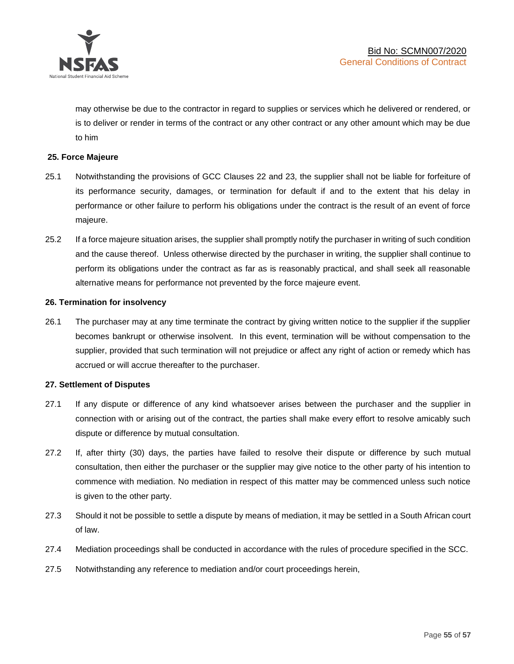

may otherwise be due to the contractor in regard to supplies or services which he delivered or rendered, or is to deliver or render in terms of the contract or any other contract or any other amount which may be due to him

## **25. Force Majeure**

- 25.1 Notwithstanding the provisions of GCC Clauses 22 and 23, the supplier shall not be liable for forfeiture of its performance security, damages, or termination for default if and to the extent that his delay in performance or other failure to perform his obligations under the contract is the result of an event of force majeure.
- 25.2 If a force majeure situation arises, the supplier shall promptly notify the purchaser in writing of such condition and the cause thereof. Unless otherwise directed by the purchaser in writing, the supplier shall continue to perform its obligations under the contract as far as is reasonably practical, and shall seek all reasonable alternative means for performance not prevented by the force majeure event.

#### **26. Termination for insolvency**

26.1 The purchaser may at any time terminate the contract by giving written notice to the supplier if the supplier becomes bankrupt or otherwise insolvent. In this event, termination will be without compensation to the supplier, provided that such termination will not prejudice or affect any right of action or remedy which has accrued or will accrue thereafter to the purchaser.

#### **27. Settlement of Disputes**

- 27.1 If any dispute or difference of any kind whatsoever arises between the purchaser and the supplier in connection with or arising out of the contract, the parties shall make every effort to resolve amicably such dispute or difference by mutual consultation.
- 27.2 If, after thirty (30) days, the parties have failed to resolve their dispute or difference by such mutual consultation, then either the purchaser or the supplier may give notice to the other party of his intention to commence with mediation. No mediation in respect of this matter may be commenced unless such notice is given to the other party.
- 27.3 Should it not be possible to settle a dispute by means of mediation, it may be settled in a South African court of law.
- 27.4 Mediation proceedings shall be conducted in accordance with the rules of procedure specified in the SCC.
- 27.5 Notwithstanding any reference to mediation and/or court proceedings herein,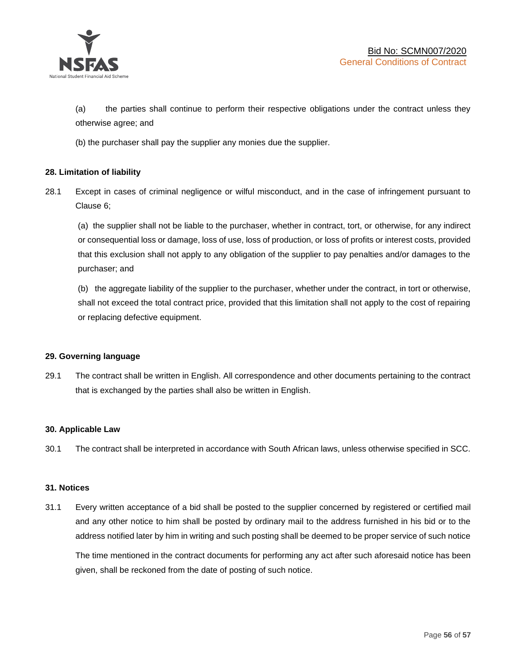

(a) the parties shall continue to perform their respective obligations under the contract unless they otherwise agree; and

(b) the purchaser shall pay the supplier any monies due the supplier.

## **28. Limitation of liability**

28.1 Except in cases of criminal negligence or wilful misconduct, and in the case of infringement pursuant to Clause 6;

(a) the supplier shall not be liable to the purchaser, whether in contract, tort, or otherwise, for any indirect or consequential loss or damage, loss of use, loss of production, or loss of profits or interest costs, provided that this exclusion shall not apply to any obligation of the supplier to pay penalties and/or damages to the purchaser; and

(b) the aggregate liability of the supplier to the purchaser, whether under the contract, in tort or otherwise, shall not exceed the total contract price, provided that this limitation shall not apply to the cost of repairing or replacing defective equipment.

## **29. Governing language**

29.1 The contract shall be written in English. All correspondence and other documents pertaining to the contract that is exchanged by the parties shall also be written in English.

## **30. Applicable Law**

30.1 The contract shall be interpreted in accordance with South African laws, unless otherwise specified in SCC.

## **31. Notices**

31.1 Every written acceptance of a bid shall be posted to the supplier concerned by registered or certified mail and any other notice to him shall be posted by ordinary mail to the address furnished in his bid or to the address notified later by him in writing and such posting shall be deemed to be proper service of such notice

The time mentioned in the contract documents for performing any act after such aforesaid notice has been given, shall be reckoned from the date of posting of such notice.